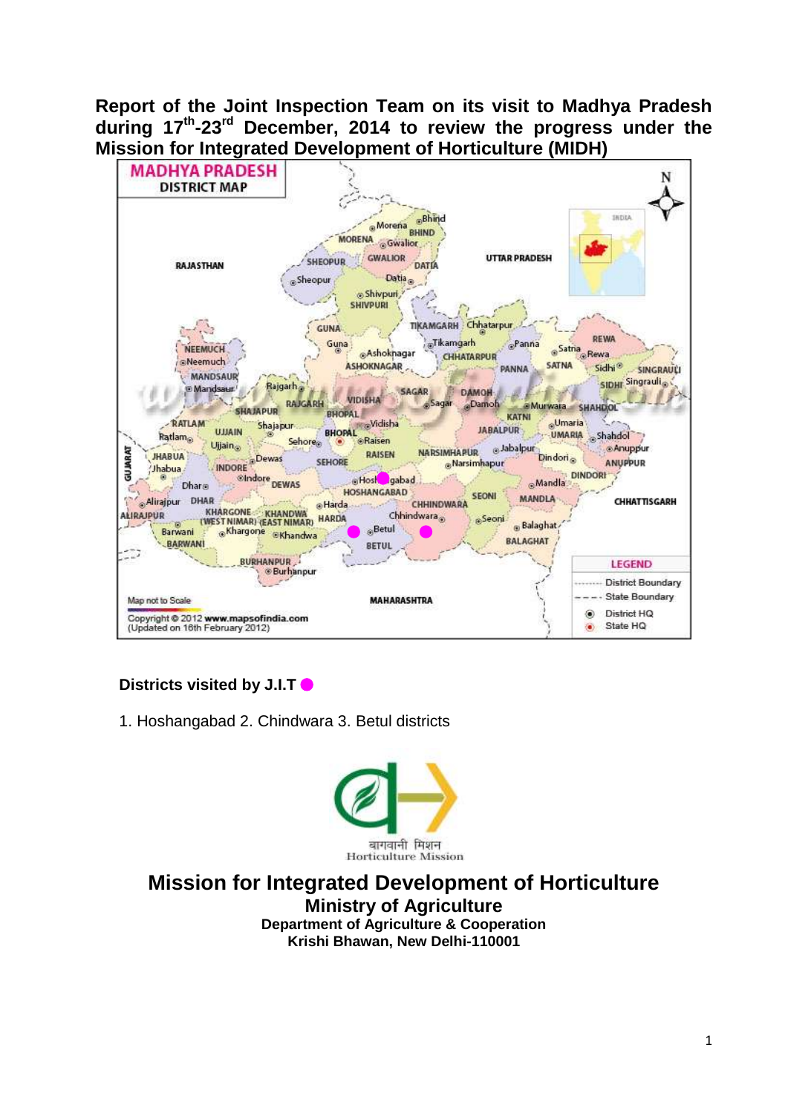**Report of the Joint Inspection Team on its visit to Madhya Pradesh during 17 th -23 rd December, 2014 to review the progress under the Mission for Integrated Development of Horticulture (MIDH)**



## **Districts visited by J.I.T**

1. Hoshangabad 2. Chindwara 3. Betul districts



**Mission for Integrated Development of Horticulture Ministry of Agriculture Department of Agriculture & Cooperation Krishi Bhawan, New Delhi-110001**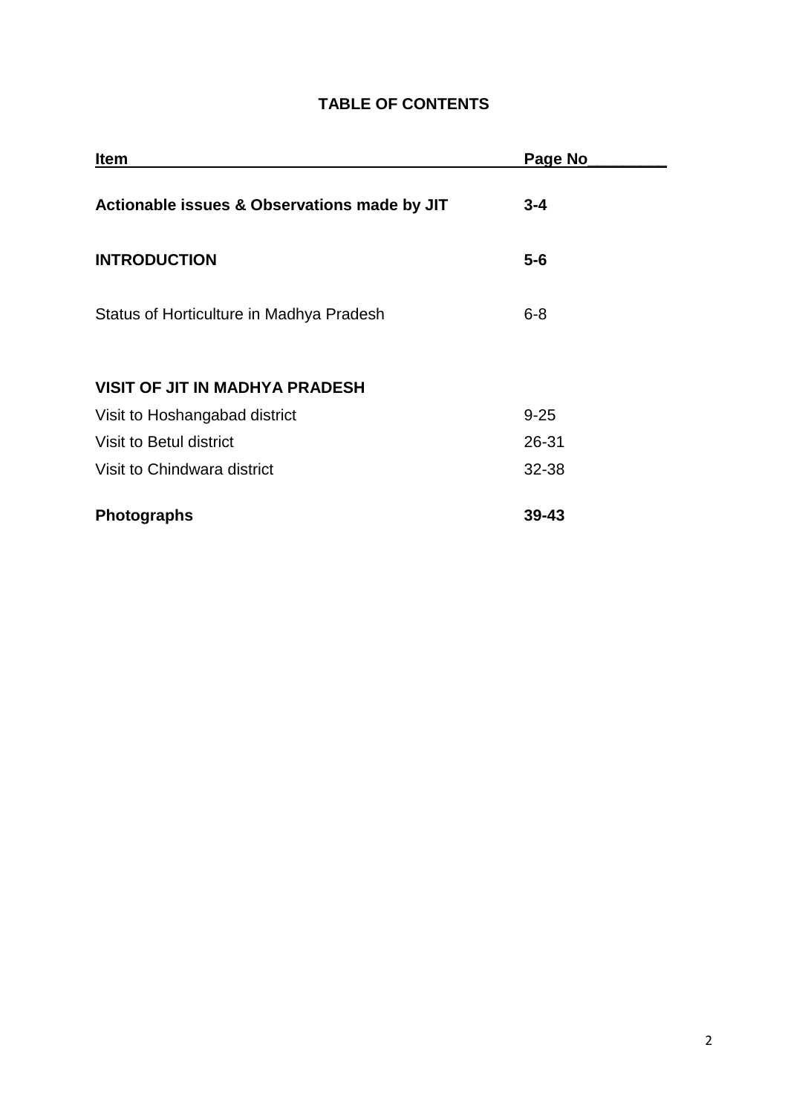## **TABLE OF CONTENTS**

| <b>Item</b>                                  | Page No   |
|----------------------------------------------|-----------|
| Actionable issues & Observations made by JIT | $3 - 4$   |
| <b>INTRODUCTION</b>                          | $5 - 6$   |
| Status of Horticulture in Madhya Pradesh     | $6 - 8$   |
| <b>VISIT OF JIT IN MADHYA PRADESH</b>        |           |
| Visit to Hoshangabad district                | $9 - 25$  |
| Visit to Betul district                      | 26-31     |
| Visit to Chindwara district                  | 32-38     |
| <b>Photographs</b>                           | $39 - 43$ |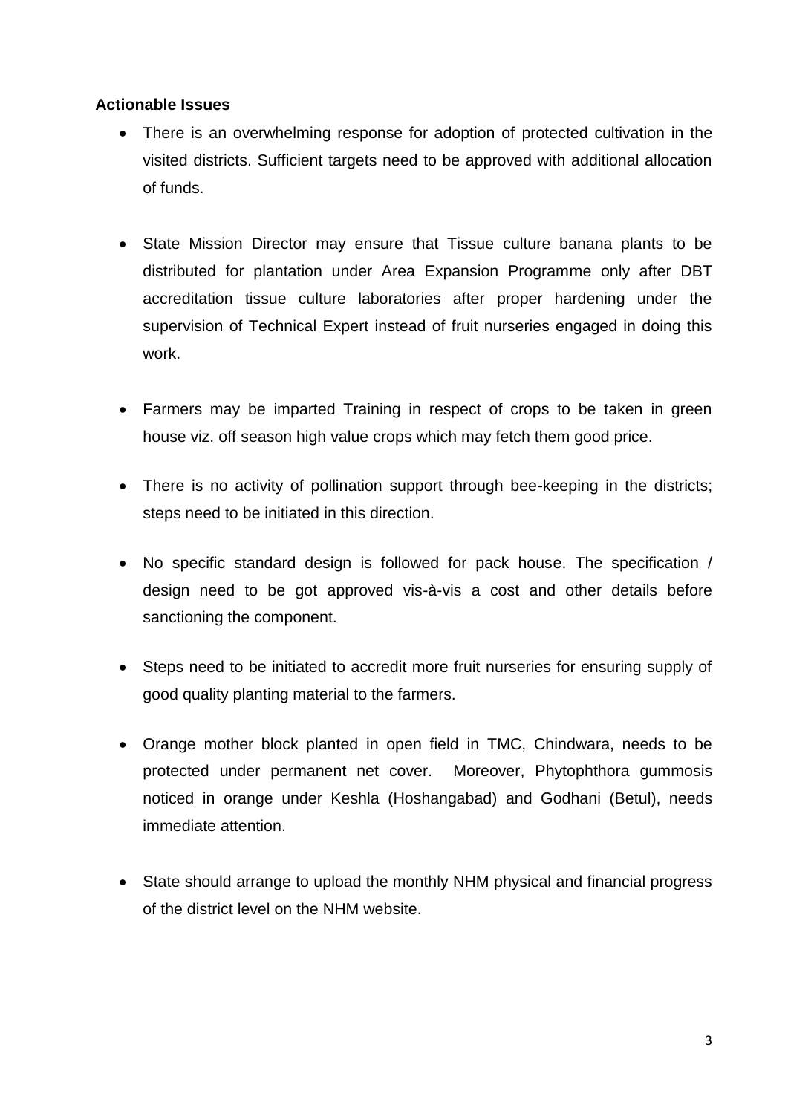## **Actionable Issues**

- There is an overwhelming response for adoption of protected cultivation in the visited districts. Sufficient targets need to be approved with additional allocation of funds.
- State Mission Director may ensure that Tissue culture banana plants to be distributed for plantation under Area Expansion Programme only after DBT accreditation tissue culture laboratories after proper hardening under the supervision of Technical Expert instead of fruit nurseries engaged in doing this work.
- Farmers may be imparted Training in respect of crops to be taken in green house viz. off season high value crops which may fetch them good price.
- There is no activity of pollination support through bee-keeping in the districts: steps need to be initiated in this direction.
- No specific standard design is followed for pack house. The specification / design need to be got approved vis-à-vis a cost and other details before sanctioning the component.
- Steps need to be initiated to accredit more fruit nurseries for ensuring supply of good quality planting material to the farmers.
- Orange mother block planted in open field in TMC, Chindwara, needs to be protected under permanent net cover. Moreover, Phytophthora gummosis noticed in orange under Keshla (Hoshangabad) and Godhani (Betul), needs immediate attention.
- State should arrange to upload the monthly NHM physical and financial progress of the district level on the NHM website.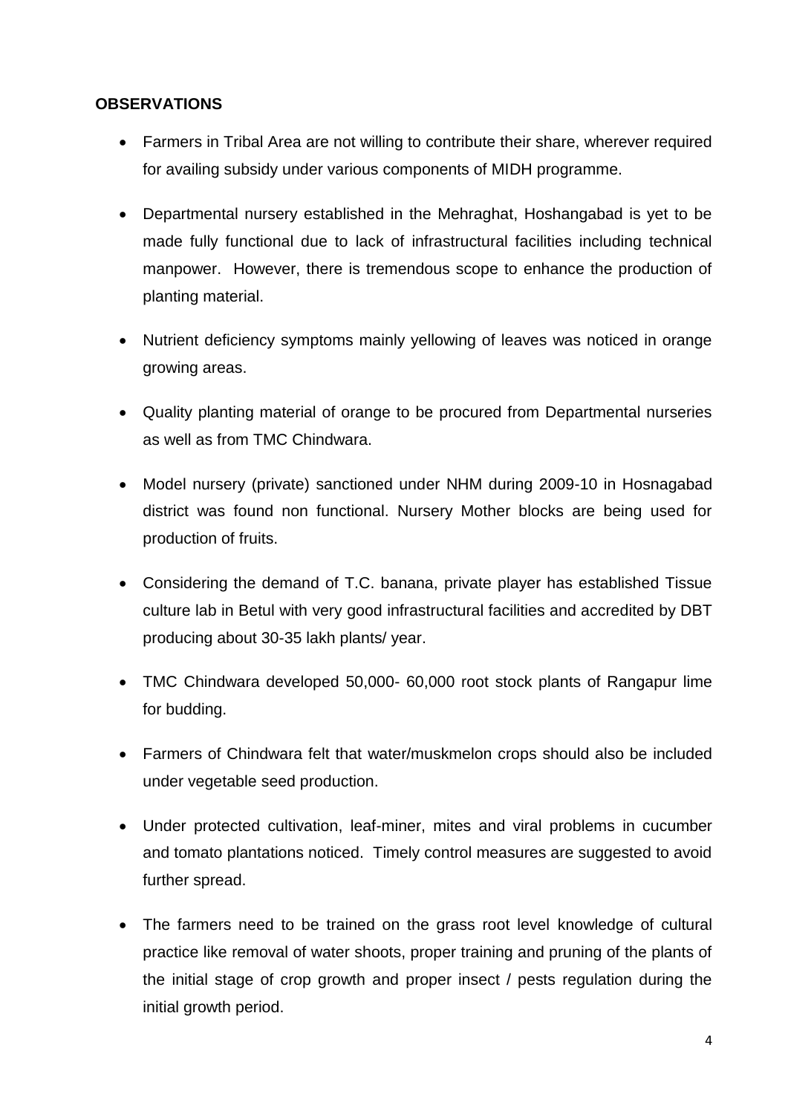## **OBSERVATIONS**

- Farmers in Tribal Area are not willing to contribute their share, wherever required for availing subsidy under various components of MIDH programme.
- Departmental nursery established in the Mehraghat, Hoshangabad is yet to be made fully functional due to lack of infrastructural facilities including technical manpower. However, there is tremendous scope to enhance the production of planting material.
- Nutrient deficiency symptoms mainly yellowing of leaves was noticed in orange growing areas.
- Quality planting material of orange to be procured from Departmental nurseries as well as from TMC Chindwara.
- Model nursery (private) sanctioned under NHM during 2009-10 in Hosnagabad district was found non functional. Nursery Mother blocks are being used for production of fruits.
- Considering the demand of T.C. banana, private player has established Tissue culture lab in Betul with very good infrastructural facilities and accredited by DBT producing about 30-35 lakh plants/ year.
- TMC Chindwara developed 50,000- 60,000 root stock plants of Rangapur lime for budding.
- Farmers of Chindwara felt that water/muskmelon crops should also be included under vegetable seed production.
- Under protected cultivation, leaf-miner, mites and viral problems in cucumber and tomato plantations noticed. Timely control measures are suggested to avoid further spread.
- The farmers need to be trained on the grass root level knowledge of cultural practice like removal of water shoots, proper training and pruning of the plants of the initial stage of crop growth and proper insect / pests regulation during the initial growth period.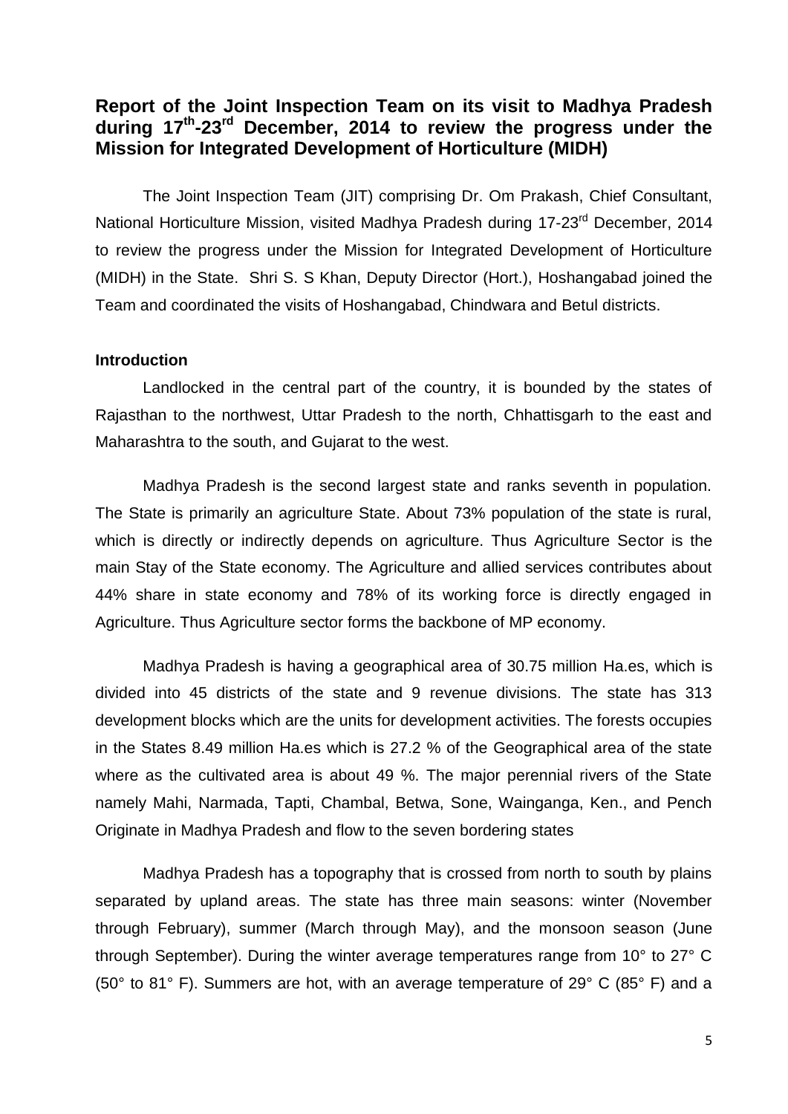## **Report of the Joint Inspection Team on its visit to Madhya Pradesh during 17th -23rd December, 2014 to review the progress under the Mission for Integrated Development of Horticulture (MIDH)**

The Joint Inspection Team (JIT) comprising Dr. Om Prakash, Chief Consultant, National Horticulture Mission, visited Madhya Pradesh during 17-23<sup>rd</sup> December, 2014 to review the progress under the Mission for Integrated Development of Horticulture (MIDH) in the State. Shri S. S Khan, Deputy Director (Hort.), Hoshangabad joined the Team and coordinated the visits of Hoshangabad, Chindwara and Betul districts.

#### **Introduction**

Landlocked in the central part of the country, it is bounded by the states of Rajasthan to the northwest, Uttar Pradesh to the north, Chhattisgarh to the east and Maharashtra to the south, and Gujarat to the west.

Madhya Pradesh is the second largest state and ranks seventh in population. The State is primarily an agriculture State. About 73% population of the state is rural, which is directly or indirectly depends on agriculture. Thus Agriculture Sector is the main Stay of the State economy. The Agriculture and allied services contributes about 44% share in state economy and 78% of its working force is directly engaged in Agriculture. Thus Agriculture sector forms the backbone of MP economy.

Madhya Pradesh is having a geographical area of 30.75 million Ha.es, which is divided into 45 districts of the state and 9 revenue divisions. The state has 313 development blocks which are the units for development activities. The forests occupies in the States 8.49 million Ha.es which is 27.2 % of the Geographical area of the state where as the cultivated area is about 49 %. The major perennial rivers of the State namely Mahi, Narmada, Tapti, Chambal, Betwa, Sone, Wainganga, Ken., and Pench Originate in Madhya Pradesh and flow to the seven bordering states

Madhya Pradesh has a topography that is crossed from north to south by plains separated by upland areas. The state has three main seasons: winter (November through February), summer (March through May), and the monsoon season (June through September). During the winter average temperatures range from 10° to 27° C (50 $\degree$  to 81 $\degree$  F). Summers are hot, with an average temperature of 29 $\degree$  C (85 $\degree$  F) and a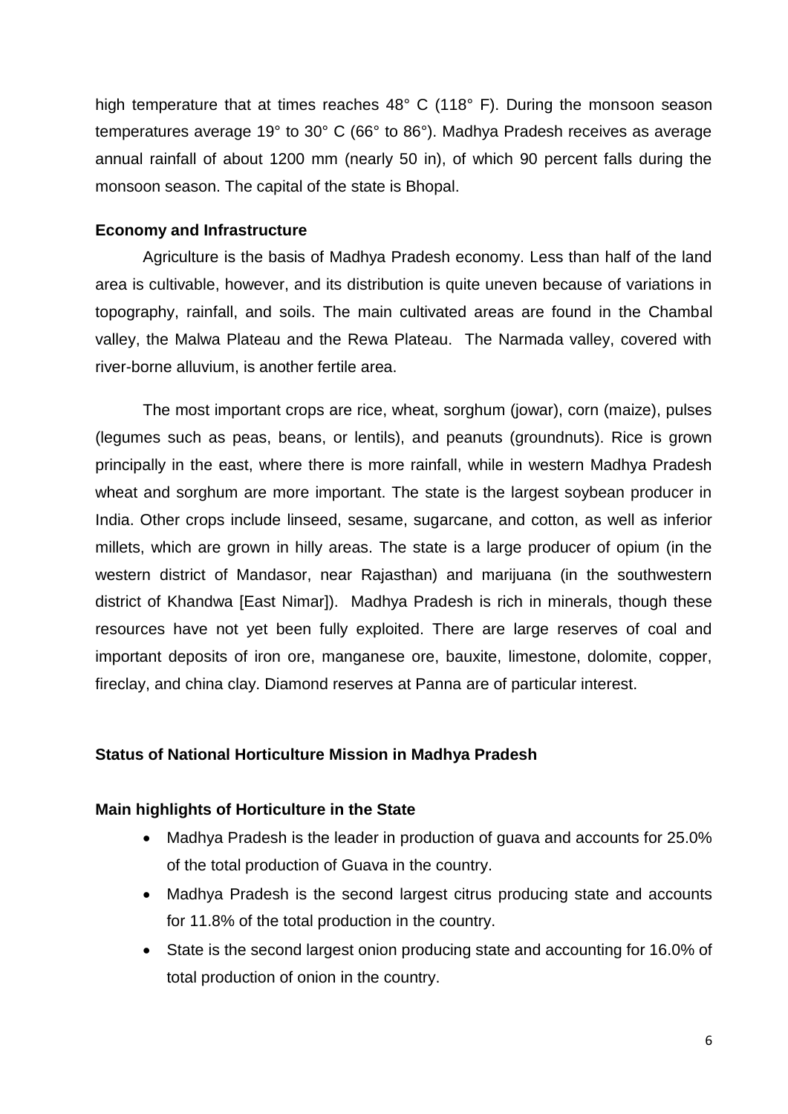high temperature that at times reaches 48° C (118° F). During the monsoon season temperatures average 19° to 30° C (66° to 86°). Madhya Pradesh receives as average annual rainfall of about 1200 mm (nearly 50 in), of which 90 percent falls during the monsoon season. The capital of the state is Bhopal.

#### **Economy and Infrastructure**

Agriculture is the basis of Madhya Pradesh economy. Less than half of the land area is cultivable, however, and its distribution is quite uneven because of variations in topography, rainfall, and soils. The main cultivated areas are found in the Chambal valley, the Malwa Plateau and the Rewa Plateau. The Narmada valley, covered with river-borne alluvium, is another fertile area.

The most important crops are rice, wheat, sorghum (jowar), corn (maize), pulses (legumes such as peas, beans, or lentils), and peanuts (groundnuts). Rice is grown principally in the east, where there is more rainfall, while in western Madhya Pradesh wheat and sorghum are more important. The state is the largest soybean producer in India. Other crops include linseed, sesame, sugarcane, and cotton, as well as inferior millets, which are grown in hilly areas. The state is a large producer of opium (in the western district of Mandasor, near Rajasthan) and marijuana (in the southwestern district of Khandwa [East Nimar]). Madhya Pradesh is rich in minerals, though these resources have not yet been fully exploited. There are large reserves of coal and important deposits of iron ore, manganese ore, bauxite, limestone, dolomite, copper, fireclay, and china clay. Diamond reserves at Panna are of particular interest.

#### **Status of National Horticulture Mission in Madhya Pradesh**

#### **Main highlights of Horticulture in the State**

- Madhya Pradesh is the leader in production of quava and accounts for 25.0% of the total production of Guava in the country.
- Madhya Pradesh is the second largest citrus producing state and accounts for 11.8% of the total production in the country.
- State is the second largest onion producing state and accounting for 16.0% of total production of onion in the country.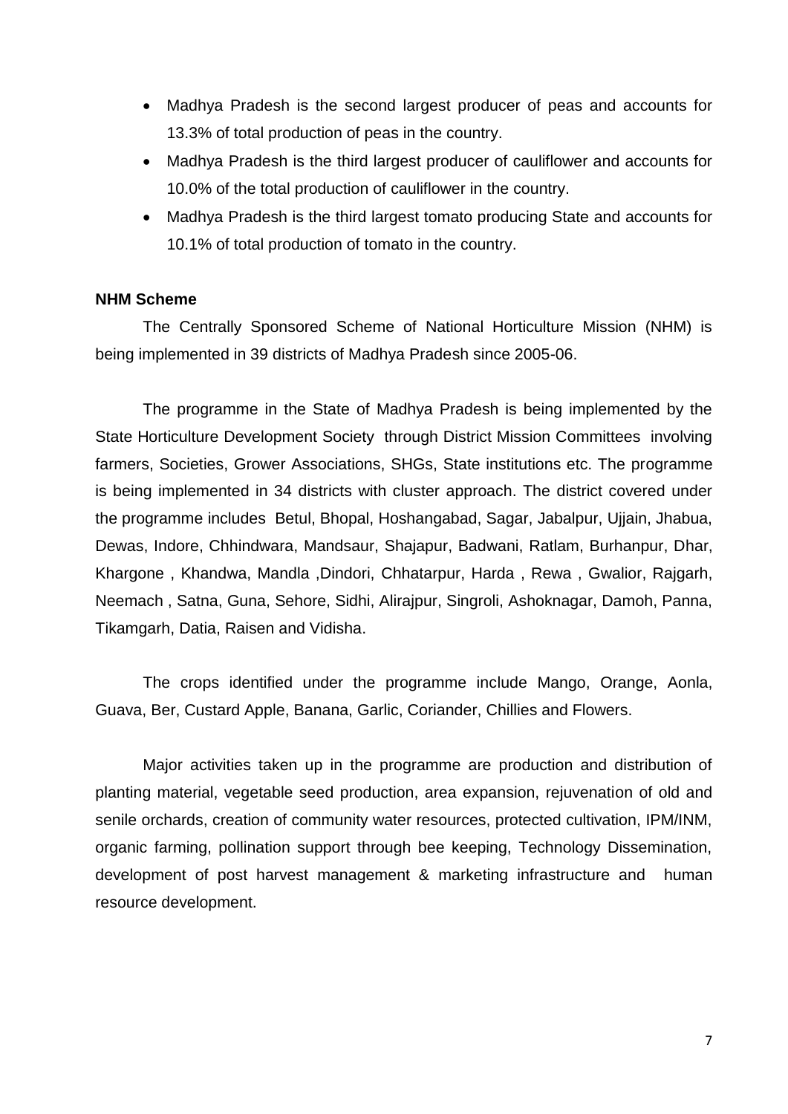- Madhya Pradesh is the second largest producer of peas and accounts for 13.3% of total production of peas in the country.
- Madhya Pradesh is the third largest producer of cauliflower and accounts for 10.0% of the total production of cauliflower in the country.
- Madhya Pradesh is the third largest tomato producing State and accounts for 10.1% of total production of tomato in the country.

#### **NHM Scheme**

The Centrally Sponsored Scheme of National Horticulture Mission (NHM) is being implemented in 39 districts of Madhya Pradesh since 2005-06.

The programme in the State of Madhya Pradesh is being implemented by the State Horticulture Development Society through District Mission Committees involving farmers, Societies, Grower Associations, SHGs, State institutions etc. The programme is being implemented in 34 districts with cluster approach. The district covered under the programme includes Betul, Bhopal, Hoshangabad, Sagar, Jabalpur, Ujjain, Jhabua, Dewas, Indore, Chhindwara, Mandsaur, Shajapur, Badwani, Ratlam, Burhanpur, Dhar, Khargone , Khandwa, Mandla ,Dindori, Chhatarpur, Harda , Rewa , Gwalior, Rajgarh, Neemach , Satna, Guna, Sehore, Sidhi, Alirajpur, Singroli, Ashoknagar, Damoh, Panna, Tikamgarh, Datia, Raisen and Vidisha.

The crops identified under the programme include Mango, Orange, Aonla, Guava, Ber, Custard Apple, Banana, Garlic, Coriander, Chillies and Flowers.

Major activities taken up in the programme are production and distribution of planting material, vegetable seed production, area expansion, rejuvenation of old and senile orchards, creation of community water resources, protected cultivation, IPM/INM, organic farming, pollination support through bee keeping, Technology Dissemination, development of post harvest management & marketing infrastructure and human resource development.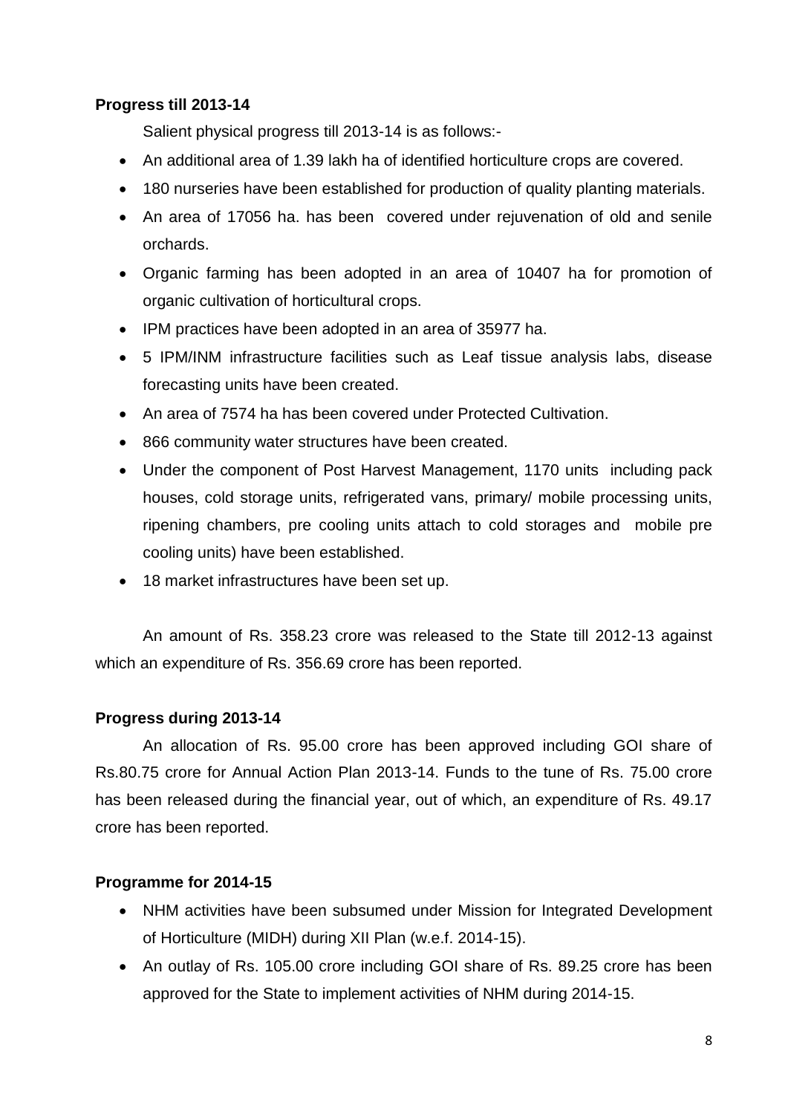## **Progress till 2013-14**

Salient physical progress till 2013-14 is as follows:-

- An additional area of 1.39 lakh ha of identified horticulture crops are covered.
- 180 nurseries have been established for production of quality planting materials.
- An area of 17056 ha. has been covered under rejuvenation of old and senile orchards.
- Organic farming has been adopted in an area of 10407 ha for promotion of organic cultivation of horticultural crops.
- IPM practices have been adopted in an area of 35977 ha.
- 5 IPM/INM infrastructure facilities such as Leaf tissue analysis labs, disease forecasting units have been created.
- An area of 7574 ha has been covered under Protected Cultivation.
- 866 community water structures have been created.
- Under the component of Post Harvest Management, 1170 units including pack houses, cold storage units, refrigerated vans, primary/ mobile processing units, ripening chambers, pre cooling units attach to cold storages and mobile pre cooling units) have been established.
- 18 market infrastructures have been set up.

An amount of Rs. 358.23 crore was released to the State till 2012-13 against which an expenditure of Rs. 356.69 crore has been reported.

#### **Progress during 2013-14**

An allocation of Rs. 95.00 crore has been approved including GOI share of Rs.80.75 crore for Annual Action Plan 2013-14. Funds to the tune of Rs. 75.00 crore has been released during the financial year, out of which, an expenditure of Rs. 49.17 crore has been reported.

#### **Programme for 2014-15**

- NHM activities have been subsumed under Mission for Integrated Development of Horticulture (MIDH) during XII Plan (w.e.f. 2014-15).
- An outlay of Rs. 105.00 crore including GOI share of Rs. 89.25 crore has been approved for the State to implement activities of NHM during 2014-15.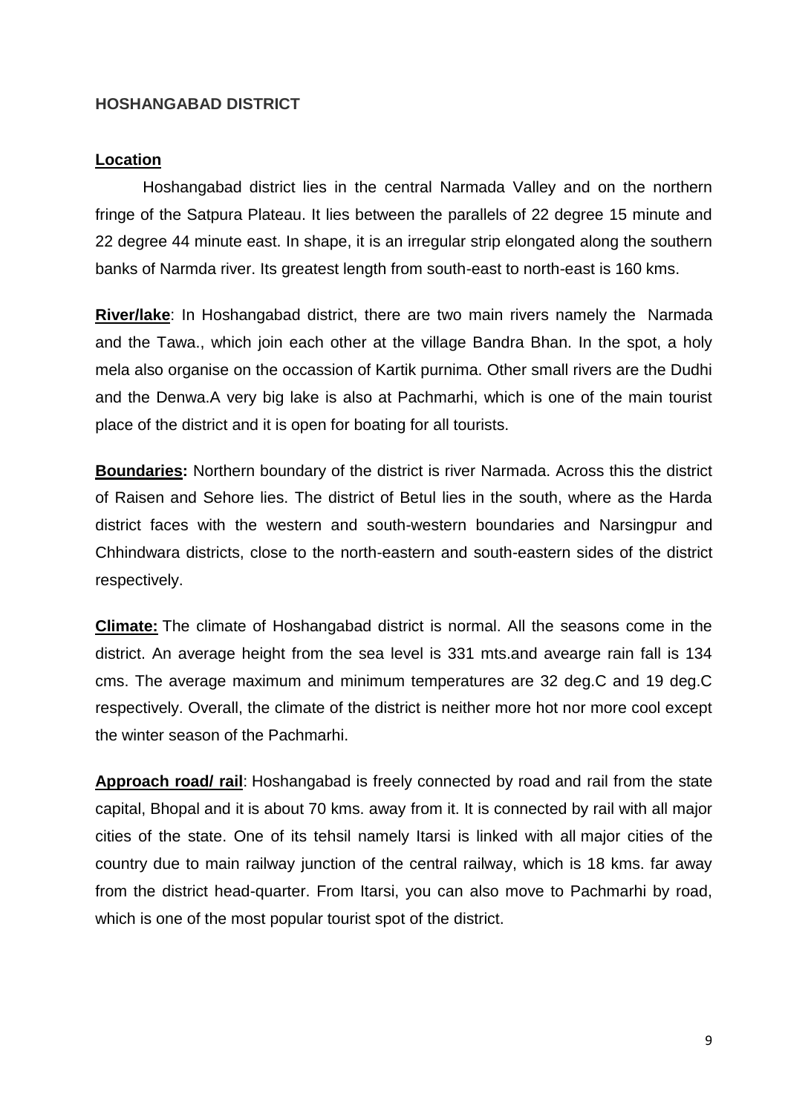#### **HOSHANGABAD DISTRICT**

#### **Location**

Hoshangabad district lies in the central Narmada Valley and on the northern fringe of the Satpura Plateau. It lies between the parallels of 22 degree 15 minute and 22 degree 44 minute east. In shape, it is an irregular strip elongated along the southern banks of Narmda river. Its greatest length from south-east to north-east is 160 kms.

**River/lake**: In Hoshangabad district, there are two main rivers namely the Narmada and the Tawa., which join each other at the village Bandra Bhan. In the spot, a holy mela also organise on the occassion of Kartik purnima. Other small rivers are the Dudhi and the Denwa.A very big lake is also at Pachmarhi, which is one of the main tourist place of the district and it is open for boating for all tourists.

**Boundaries:** Northern boundary of the district is river Narmada. Across this the district of Raisen and Sehore lies. The district of Betul lies in the south, where as the Harda district faces with the western and south-western boundaries and Narsingpur and Chhindwara districts, close to the north-eastern and south-eastern sides of the district respectively.

**Climate:** The climate of Hoshangabad district is normal. All the seasons come in the district. An average height from the sea level is 331 mts.and avearge rain fall is 134 cms. The average maximum and minimum temperatures are 32 deg.C and 19 deg.C respectively. Overall, the climate of the district is neither more hot nor more cool except the winter season of the Pachmarhi.

**Approach road/ rail**: Hoshangabad is freely connected by road and rail from the state capital, Bhopal and it is about 70 kms. away from it. It is connected by rail with all major cities of the state. One of its tehsil namely Itarsi is linked with all major cities of the country due to main railway junction of the central railway, which is 18 kms. far away from the district head-quarter. From Itarsi, you can also move to Pachmarhi by road, which is one of the most popular tourist spot of the district.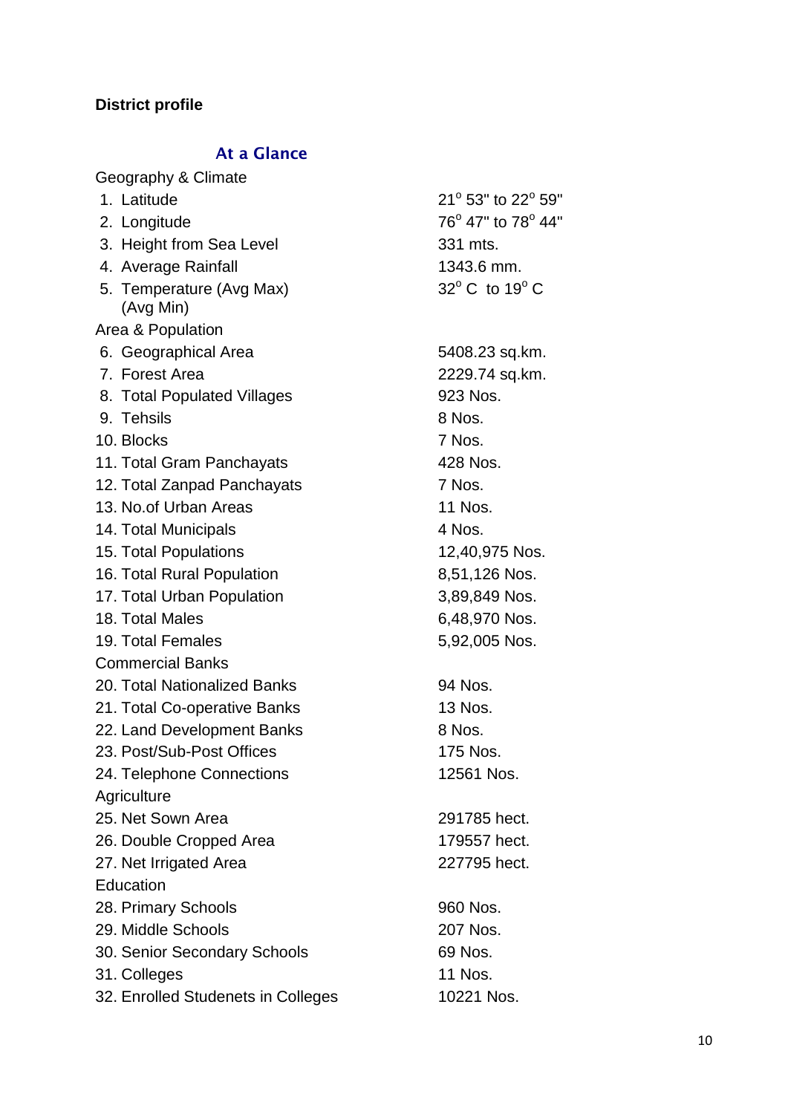# **District profile**

# **At a Glance**

| Geography & Climate                   |                                   |
|---------------------------------------|-----------------------------------|
| 1. Latitude                           | 21° 53" to 22° 59"                |
| 2. Longitude                          | 76° 47" to 78° 44"                |
| 3. Height from Sea Level              | 331 mts.                          |
| 4. Average Rainfall                   | 1343.6 mm.                        |
| 5. Temperature (Avg Max)<br>(Avg Min) | $32^{\circ}$ C to 19 $^{\circ}$ C |
| Area & Population                     |                                   |
| 6. Geographical Area                  | 5408.23 sq.km.                    |
| 7. Forest Area                        | 2229.74 sq.km.                    |
| 8. Total Populated Villages           | 923 Nos.                          |
| 9. Tehsils                            | 8 Nos.                            |
| 10. Blocks                            | 7 Nos.                            |
| 11. Total Gram Panchayats             | 428 Nos.                          |
| 12. Total Zanpad Panchayats           | 7 Nos.                            |
| 13. No.of Urban Areas                 | <b>11 Nos.</b>                    |
| 14. Total Municipals                  | 4 Nos.                            |
| 15. Total Populations                 | 12,40,975 Nos.                    |
| 16. Total Rural Population            | 8,51,126 Nos.                     |
| 17. Total Urban Population            | 3,89,849 Nos.                     |
| 18. Total Males                       | 6,48,970 Nos.                     |
| 19. Total Females                     | 5,92,005 Nos.                     |
| <b>Commercial Banks</b>               |                                   |
| 20. Total Nationalized Banks          | 94 Nos.                           |
| 21. Total Co-operative Banks          | 13 Nos.                           |
| 22. Land Development Banks            | 8 Nos.                            |
| 23. Post/Sub-Post Offices             | 175 Nos.                          |
| 24. Telephone Connections             | 12561 Nos.                        |
| Agriculture                           |                                   |
| 25. Net Sown Area                     | 291785 hect.                      |
| 26. Double Cropped Area               | 179557 hect.                      |
| 27. Net Irrigated Area                | 227795 hect.                      |
| Education                             |                                   |
| 28. Primary Schools                   | 960 Nos.                          |
| 29. Middle Schools                    | 207 Nos.                          |
| 30. Senior Secondary Schools          | 69 Nos.                           |
| 31. Colleges                          | 11 Nos.                           |
| 32. Enrolled Studenets in Colleges    | 10221 Nos.                        |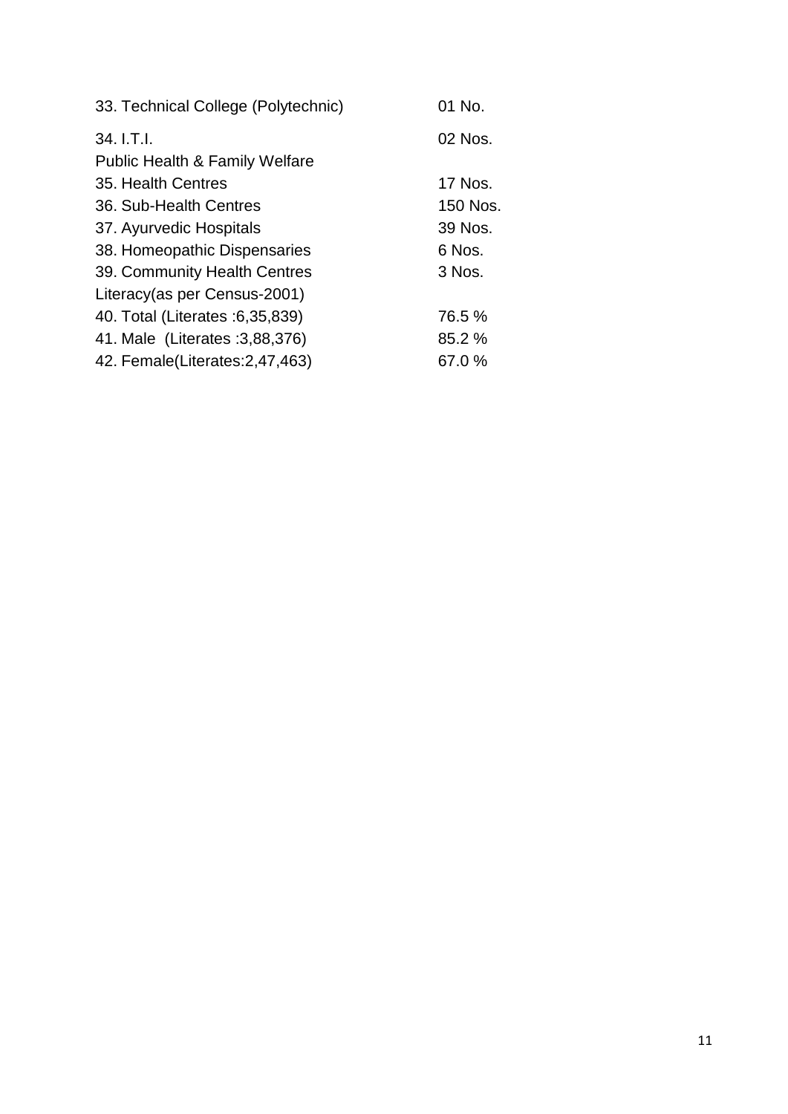| 33. Technical College (Polytechnic)       | 01 No.   |
|-------------------------------------------|----------|
| 34. I.T.I.                                | 02 Nos.  |
| <b>Public Health &amp; Family Welfare</b> |          |
| 35. Health Centres                        | 17 Nos.  |
| 36. Sub-Health Centres                    | 150 Nos. |
| 37. Ayurvedic Hospitals                   | 39 Nos.  |
| 38. Homeopathic Dispensaries              | 6 Nos.   |
| 39. Community Health Centres              | 3 Nos.   |
| Literacy (as per Census-2001)             |          |
| 40. Total (Literates : 6, 35, 839)        | 76.5 %   |
| 41. Male (Literates : 3,88,376)           | 85.2 %   |
| 42. Female(Literates: 2,47,463)           | 67.0%    |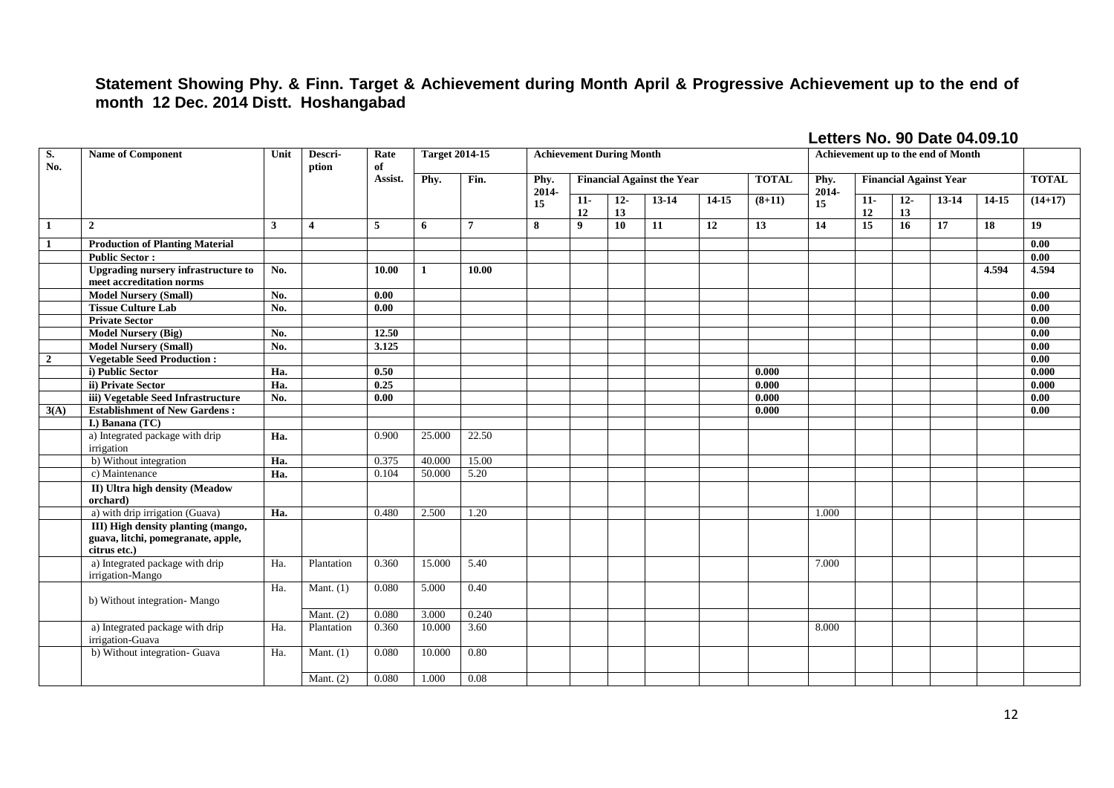## **Statement Showing Phy. & Finn. Target & Achievement during Month April & Progressive Achievement up to the end of month 12 Dec. 2014 Distt. Hoshangabad**

| S.<br>No.      | <b>Name of Component</b>                                                                 | Unit<br>Descri-<br>Rate<br>of<br>ption |                |                | <b>Target 2014-15</b> | <b>Achievement During Month</b> |                 |                                                   |                 |       |           |          | Achievement up to the end of Month |             |             |                               |       |              |
|----------------|------------------------------------------------------------------------------------------|----------------------------------------|----------------|----------------|-----------------------|---------------------------------|-----------------|---------------------------------------------------|-----------------|-------|-----------|----------|------------------------------------|-------------|-------------|-------------------------------|-------|--------------|
|                |                                                                                          |                                        |                | Assist.        | Phy.                  | Fin.                            | Phy.<br>$2014-$ | <b>Financial Against the Year</b><br><b>TOTAL</b> |                 |       |           |          | Phy.<br>2014-                      |             |             | <b>Financial Against Year</b> |       | <b>TOTAL</b> |
|                |                                                                                          |                                        |                |                |                       |                                 | 15              | $11-$<br>12                                       | $12-$<br>13     | 13-14 | $14 - 15$ | $(8+11)$ | 15                                 | $11-$<br>12 | $12-$<br>13 | 13-14                         | 14-15 | $(14+17)$    |
| $\mathbf{1}$   | $\overline{2}$                                                                           | 3                                      | $\overline{4}$ | $\overline{5}$ | 6                     | $\overline{7}$                  | 8               | 9                                                 | 10 <sup>°</sup> | 11    | 12        | 13       | 14                                 | 15          | 16          | 17                            | 18    | 19           |
| $\mathbf{1}$   | <b>Production of Planting Material</b>                                                   |                                        |                |                |                       |                                 |                 |                                                   |                 |       |           |          |                                    |             |             |                               |       | 0.00         |
|                | <b>Public Sector:</b>                                                                    |                                        |                |                |                       |                                 |                 |                                                   |                 |       |           |          |                                    |             |             |                               |       | 0.00         |
|                | <b>Upgrading nursery infrastructure to</b><br>meet accreditation norms                   | No.                                    |                | 10.00          | 1                     | 10.00                           |                 |                                                   |                 |       |           |          |                                    |             |             |                               | 4.594 | 4.594        |
|                | <b>Model Nursery (Small)</b>                                                             | $\overline{No}$ .                      |                | 0.00           |                       |                                 |                 |                                                   |                 |       |           |          |                                    |             |             |                               |       | 0.00         |
|                | <b>Tissue Culture Lab</b>                                                                | No.                                    |                | 0.00           |                       |                                 |                 |                                                   |                 |       |           |          |                                    |             |             |                               |       | 0.00         |
|                | <b>Private Sector</b>                                                                    |                                        |                |                |                       |                                 |                 |                                                   |                 |       |           |          |                                    |             |             |                               |       | 0.00         |
|                | <b>Model Nursery (Big)</b>                                                               | No.                                    |                | 12.50          |                       |                                 |                 |                                                   |                 |       |           |          |                                    |             |             |                               |       | 0.00         |
|                | <b>Model Nursery (Small)</b>                                                             | No.                                    |                | 3.125          |                       |                                 |                 |                                                   |                 |       |           |          |                                    |             |             |                               |       | 0.00         |
| $\overline{2}$ | <b>Vegetable Seed Production:</b>                                                        |                                        |                |                |                       |                                 |                 |                                                   |                 |       |           |          |                                    |             |             |                               |       | 0.00         |
|                | i) Public Sector                                                                         | Ha.                                    |                | 0.50           |                       |                                 |                 |                                                   |                 |       |           | 0.000    |                                    |             |             |                               |       | 0.000        |
|                | ii) Private Sector                                                                       | Ha.                                    |                | 0.25           |                       |                                 |                 |                                                   |                 |       |           | 0.000    |                                    |             |             |                               |       | 0.000        |
|                | iii) Vegetable Seed Infrastructure                                                       | No.                                    |                | 0.00           |                       |                                 |                 |                                                   |                 |       |           | 0.000    |                                    |             |             |                               |       | 0.00         |
| 3(A)           | <b>Establishment of New Gardens:</b>                                                     |                                        |                |                |                       |                                 |                 |                                                   |                 |       |           | 0.000    |                                    |             |             |                               |       | 0.00         |
|                | <b>I.)</b> Banana (TC)                                                                   |                                        |                |                |                       |                                 |                 |                                                   |                 |       |           |          |                                    |             |             |                               |       |              |
|                | a) Integrated package with drip<br>irrigation                                            | Ha.                                    |                | 0.900          | 25.000                | 22.50                           |                 |                                                   |                 |       |           |          |                                    |             |             |                               |       |              |
|                | b) Without integration                                                                   | Ha.                                    |                | 0.375          | 40.000                | 15.00                           |                 |                                                   |                 |       |           |          |                                    |             |             |                               |       |              |
|                | c) Maintenance                                                                           | Ha.                                    |                | 0.104          | 50.000                | 5.20                            |                 |                                                   |                 |       |           |          |                                    |             |             |                               |       |              |
|                | II) Ultra high density (Meadow<br>orchard)                                               |                                        |                |                |                       |                                 |                 |                                                   |                 |       |           |          |                                    |             |             |                               |       |              |
|                | a) with drip irrigation (Guava)                                                          | Ha.                                    |                | 0.480          | 2.500                 | 1.20                            |                 |                                                   |                 |       |           |          | 1.000                              |             |             |                               |       |              |
|                | III) High density planting (mango,<br>guava, litchi, pomegranate, apple,<br>citrus etc.) |                                        |                |                |                       |                                 |                 |                                                   |                 |       |           |          |                                    |             |             |                               |       |              |
|                | a) Integrated package with drip<br>irrigation-Mango                                      | Ha.                                    | Plantation     | 0.360          | 15.000                | 5.40                            |                 |                                                   |                 |       |           |          | 7.000                              |             |             |                               |       |              |
|                | b) Without integration-Mango                                                             | Ha.                                    | Mant. $(1)$    | 0.080          | 5.000                 | 0.40                            |                 |                                                   |                 |       |           |          |                                    |             |             |                               |       |              |
|                |                                                                                          |                                        | Mant. $(2)$    | 0.080          | 3.000                 | 0.240                           |                 |                                                   |                 |       |           |          |                                    |             |             |                               |       |              |
|                | a) Integrated package with drip<br>irrigation-Guava                                      | Ha.                                    | Plantation     | 0.360          | 10.000                | 3.60                            |                 |                                                   |                 |       |           |          | 8.000                              |             |             |                               |       |              |
|                | b) Without integration- Guava                                                            | Ha.                                    | Mant. $(1)$    | 0.080          | 10.000                | 0.80                            |                 |                                                   |                 |       |           |          |                                    |             |             |                               |       |              |
|                |                                                                                          |                                        | Mant. $(2)$    | 0.080          | 1.000                 | 0.08                            |                 |                                                   |                 |       |           |          |                                    |             |             |                               |       |              |

#### **Letters No. 90 Date 04.09.10**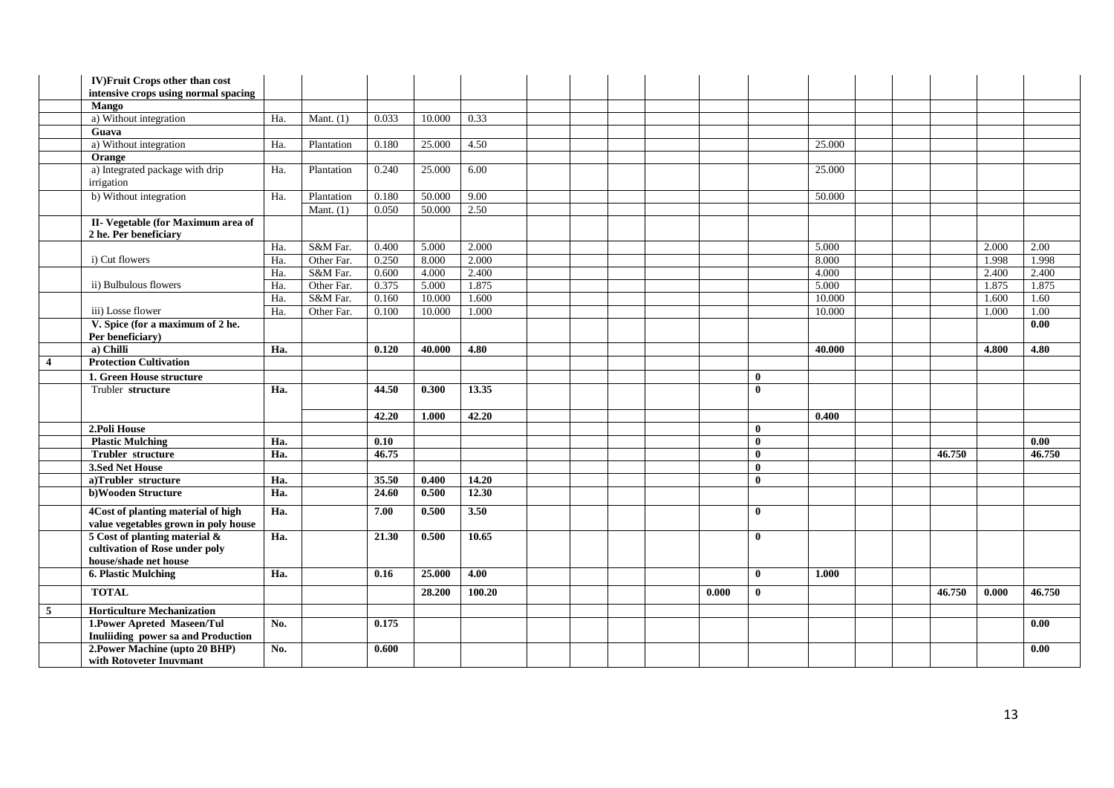|                         | <b>IV)Fruit Crops other than cost</b>                             |     |             |                    |        |                   |  |       |              |        |  |        |       |                   |
|-------------------------|-------------------------------------------------------------------|-----|-------------|--------------------|--------|-------------------|--|-------|--------------|--------|--|--------|-------|-------------------|
|                         | intensive crops using normal spacing                              |     |             |                    |        |                   |  |       |              |        |  |        |       |                   |
|                         | <b>Mango</b>                                                      |     |             |                    |        |                   |  |       |              |        |  |        |       |                   |
|                         | a) Without integration                                            | Ha. | Mant. $(1)$ | 0.033              | 10.000 | 0.33              |  |       |              |        |  |        |       |                   |
|                         | Guava                                                             |     |             |                    |        |                   |  |       |              |        |  |        |       |                   |
|                         | a) Without integration                                            | Ha. | Plantation  | 0.180              | 25.000 | 4.50              |  |       |              | 25.000 |  |        |       |                   |
|                         | Orange                                                            |     |             |                    |        |                   |  |       |              |        |  |        |       |                   |
|                         | a) Integrated package with drip<br>irrigation                     | Ha. | Plantation  | 0.240              | 25.000 | 6.00              |  |       |              | 25.000 |  |        |       |                   |
|                         | b) Without integration                                            | Ha. | Plantation  | 0.180              | 50.000 | 9.00              |  |       |              | 50.000 |  |        |       |                   |
|                         |                                                                   |     | Mant. $(1)$ | 0.050              | 50.000 | 2.50              |  |       |              |        |  |        |       |                   |
|                         | II- Vegetable (for Maximum area of<br>2 he. Per beneficiary       |     |             |                    |        |                   |  |       |              |        |  |        |       |                   |
|                         |                                                                   | Ha. | S&M Far.    | 0.400              | 5.000  | 2.000             |  |       |              | 5.000  |  |        | 2.000 | 2.00              |
|                         | i) Cut flowers                                                    | Ha. | Other Far.  | 0.250              | 8.000  | 2.000             |  |       |              | 8.000  |  |        | 1.998 | 1.998             |
|                         |                                                                   | Ha. | S&M Far.    | 0.600              | 4.000  | 2.400             |  |       |              | 4.000  |  |        | 2.400 | 2.400             |
|                         | ii) Bulbulous flowers                                             | Ha. | Other Far.  | 0.375              | 5.000  | 1.875             |  |       |              | 5.000  |  |        | 1.875 | 1.875             |
|                         |                                                                   | Ha. | S&M Far.    | 0.160              | 10.000 | 1.600             |  |       |              | 10.000 |  |        | 1.600 | 1.60              |
|                         | iii) Losse flower                                                 | Ha. | Other Far.  | 0.100              | 10.000 | 1.000             |  |       |              | 10.000 |  |        | 1.000 | 1.00              |
|                         | V. Spice (for a maximum of 2 he.                                  |     |             |                    |        |                   |  |       |              |        |  |        |       | $\overline{0.00}$ |
|                         | Per beneficiary)                                                  |     |             |                    |        |                   |  |       |              |        |  |        |       |                   |
|                         | a) Chilli                                                         | Ha. |             | 0.120              | 40.000 | $\overline{4.80}$ |  |       |              | 40.000 |  |        | 4.800 | $\overline{4.80}$ |
| $\overline{\mathbf{4}}$ | <b>Protection Cultivation</b>                                     |     |             |                    |        |                   |  |       |              |        |  |        |       |                   |
|                         | 1. Green House structure                                          |     |             |                    |        |                   |  |       | $\bf{0}$     |        |  |        |       |                   |
|                         | Trubler structure                                                 | Ha. |             | 44.50              | 0.300  | 13.35             |  |       | $\bf{0}$     |        |  |        |       |                   |
|                         |                                                                   |     |             | 42.20              | 1.000  | 42.20             |  |       |              | 0.400  |  |        |       |                   |
|                         | 2. Poli House                                                     |     |             |                    |        |                   |  |       | $\mathbf{0}$ |        |  |        |       |                   |
|                         | <b>Plastic Mulching</b>                                           | Ha. |             | 0.10               |        |                   |  |       | $\theta$     |        |  |        |       | 0.00              |
|                         | <b>Trubler</b> structure                                          | Ha. |             | 46.75              |        |                   |  |       | $\theta$     |        |  | 46.750 |       | 46.750            |
|                         | 3.Sed Net House                                                   |     |             |                    |        |                   |  |       | $\theta$     |        |  |        |       |                   |
|                         | a)Trubler structure                                               | Ha. |             | 35.50              | 0.400  | 14.20             |  |       | $\mathbf{0}$ |        |  |        |       |                   |
|                         | b)Wooden Structure                                                | Ha. |             | 24.60              | 0.500  | 12.30             |  |       |              |        |  |        |       |                   |
|                         |                                                                   |     |             |                    |        |                   |  |       |              |        |  |        |       |                   |
|                         | 4Cost of planting material of high                                | Ha. |             | 7.00               | 0.500  | 3.50              |  |       | $\mathbf{0}$ |        |  |        |       |                   |
|                         | value vegetables grown in poly house                              |     |             |                    |        |                   |  |       |              |        |  |        |       |                   |
|                         | 5 Cost of planting material $\&$                                  | Ha. |             | $\overline{21.30}$ | 0.500  | 10.65             |  |       | $\mathbf{0}$ |        |  |        |       |                   |
|                         | cultivation of Rose under poly                                    |     |             |                    |        |                   |  |       |              |        |  |        |       |                   |
|                         | house/shade net house                                             |     |             |                    |        |                   |  |       |              |        |  |        |       |                   |
|                         | <b>6. Plastic Mulching</b>                                        | Ha. |             | 0.16               | 25.000 | 4.00              |  |       | $\mathbf{0}$ | 1.000  |  |        |       |                   |
|                         | <b>TOTAL</b>                                                      |     |             |                    | 28.200 | 100.20            |  | 0.000 | $\bf{0}$     |        |  | 46.750 | 0.000 | 46.750            |
| 5                       |                                                                   |     |             |                    |        |                   |  |       |              |        |  |        |       |                   |
|                         | <b>Horticulture Mechanization</b>                                 |     |             |                    |        |                   |  |       |              |        |  |        |       |                   |
|                         |                                                                   | No. |             | 0.175              |        |                   |  |       |              |        |  |        |       | 0.00              |
|                         | 1. Power Apreted Maseen/Tul<br>Inuliiding power sa and Production |     |             |                    |        |                   |  |       |              |        |  |        |       |                   |
|                         | 2. Power Machine (upto 20 BHP)<br>with Rotoveter Inuvmant         | No. |             | 0.600              |        |                   |  |       |              |        |  |        |       | 0.00              |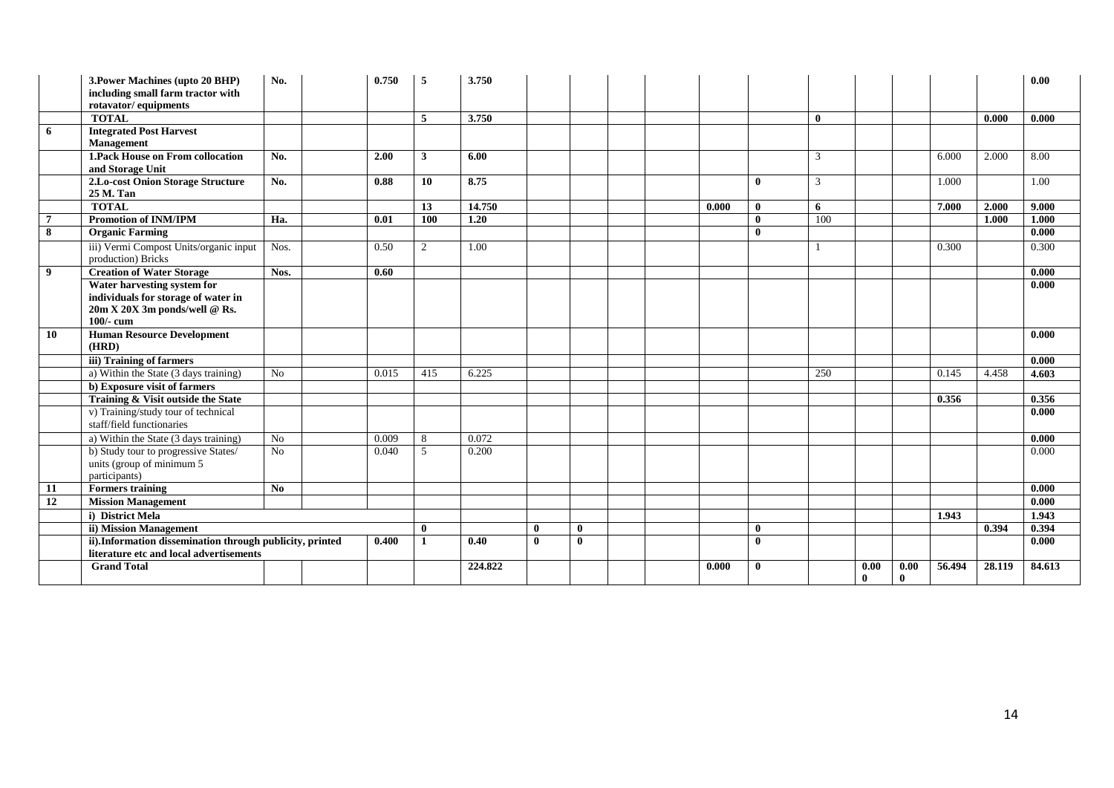|                | 3. Power Machines (upto 20 BHP)<br>including small farm tractor with<br>rotavator/ equipments | No.  | 0.750 | 5                | 3.750             |              |              |  |       |              |              |      |              |        |        | 0.00   |
|----------------|-----------------------------------------------------------------------------------------------|------|-------|------------------|-------------------|--------------|--------------|--|-------|--------------|--------------|------|--------------|--------|--------|--------|
|                | <b>TOTAL</b>                                                                                  |      |       | 5                | 3.750             |              |              |  |       |              | $\mathbf{0}$ |      |              |        | 0.000  | 0.000  |
| 6              | <b>Integrated Post Harvest</b>                                                                |      |       |                  |                   |              |              |  |       |              |              |      |              |        |        |        |
|                | <b>Management</b>                                                                             |      |       |                  |                   |              |              |  |       |              |              |      |              |        |        |        |
|                | <b>1. Pack House on From collocation</b>                                                      | No.  | 2.00  | $\mathbf{3}$     | 6.00              |              |              |  |       |              | 3            |      |              | 6.000  | 2.000  | 8.00   |
|                | and Storage Unit                                                                              |      |       |                  |                   |              |              |  |       |              |              |      |              |        |        |        |
|                | 2.Lo-cost Onion Storage Structure                                                             | No.  | 0.88  | 10               | 8.75              |              |              |  |       | $\bf{0}$     | 3            |      |              | 1.000  |        | 1.00   |
|                | 25 M. Tan                                                                                     |      |       |                  |                   |              |              |  |       |              |              |      |              |        |        |        |
|                | <b>TOTAL</b>                                                                                  |      |       | 13               | 14.750            |              |              |  | 0.000 | $\bf{0}$     | 6            |      |              | 7.000  | 2.000  | 9,000  |
| $\overline{7}$ | <b>Promotion of INM/IPM</b>                                                                   | Ha.  | 0.01  | $\overline{100}$ | $\overline{1.20}$ |              |              |  |       | $\mathbf{0}$ | 100          |      |              |        | 1.000  | 1.000  |
| 8              | <b>Organic Farming</b>                                                                        |      |       |                  |                   |              |              |  |       | $\mathbf{0}$ |              |      |              |        |        | 0.000  |
|                | iii) Vermi Compost Units/organic input<br>production) Bricks                                  | Nos. | 0.50  | 2                | 1.00              |              |              |  |       |              |              |      |              | 0.300  |        | 0.300  |
| 9              | <b>Creation of Water Storage</b>                                                              | Nos. | 0.60  |                  |                   |              |              |  |       |              |              |      |              |        |        | 0.000  |
|                | Water harvesting system for                                                                   |      |       |                  |                   |              |              |  |       |              |              |      |              |        |        | 0.000  |
|                | individuals for storage of water in                                                           |      |       |                  |                   |              |              |  |       |              |              |      |              |        |        |        |
|                | 20m X 20X 3m ponds/well @ Rs.                                                                 |      |       |                  |                   |              |              |  |       |              |              |      |              |        |        |        |
|                | 100/- cum                                                                                     |      |       |                  |                   |              |              |  |       |              |              |      |              |        |        |        |
| 10             | <b>Human Resource Development</b><br>(HRD)                                                    |      |       |                  |                   |              |              |  |       |              |              |      |              |        |        | 0.000  |
|                | iii) Training of farmers                                                                      |      |       |                  |                   |              |              |  |       |              |              |      |              |        |        | 0.000  |
|                | a) Within the State (3 days training)                                                         | No   | 0.015 | 415              | 6.225             |              |              |  |       |              | 250          |      |              | 0.145  | 4.458  | 4.603  |
|                | b) Exposure visit of farmers                                                                  |      |       |                  |                   |              |              |  |       |              |              |      |              |        |        |        |
|                | Training & Visit outside the State                                                            |      |       |                  |                   |              |              |  |       |              |              |      |              | 0.356  |        | 0.356  |
|                | v) Training/study tour of technical                                                           |      |       |                  |                   |              |              |  |       |              |              |      |              |        |        | 0.000  |
|                | staff/field functionaries                                                                     |      |       |                  |                   |              |              |  |       |              |              |      |              |        |        |        |
|                | a) Within the State (3 days training)                                                         | No   | 0.009 | 8                | 0.072             |              |              |  |       |              |              |      |              |        |        | 0.000  |
|                | b) Study tour to progressive States/                                                          | No   | 0.040 | 5                | 0.200             |              |              |  |       |              |              |      |              |        |        | 0.000  |
|                | units (group of minimum 5                                                                     |      |       |                  |                   |              |              |  |       |              |              |      |              |        |        |        |
|                | participants)                                                                                 | No   |       |                  |                   |              |              |  |       |              |              |      |              |        |        | 0.000  |
| 11<br>12       | <b>Formers training</b><br><b>Mission Management</b>                                          |      |       |                  |                   |              |              |  |       |              |              |      |              |        |        | 0.000  |
|                | i) District Mela                                                                              |      |       |                  |                   |              |              |  |       |              |              |      |              | 1.943  |        | 1.943  |
|                | ii) Mission Management                                                                        |      |       | $\bf{0}$         |                   | $\mathbf{0}$ | $\mathbf{0}$ |  |       | $\bf{0}$     |              |      |              |        | 0.394  | 0.394  |
|                | ii).Information dissemination through publicity, printed                                      |      | 0.400 | 1                | 0.40              | $\mathbf{0}$ | $\mathbf{0}$ |  |       | $\mathbf{0}$ |              |      |              |        |        | 0.000  |
|                | literature etc and local advertisements                                                       |      |       |                  |                   |              |              |  |       |              |              |      |              |        |        |        |
|                | <b>Grand Total</b>                                                                            |      |       |                  | 224.822           |              |              |  | 0.000 | $\bf{0}$     |              | 0.00 | 0.00         | 56.494 | 28.119 | 84.613 |
|                |                                                                                               |      |       |                  |                   |              |              |  |       |              |              | 0    | $\mathbf{0}$ |        |        |        |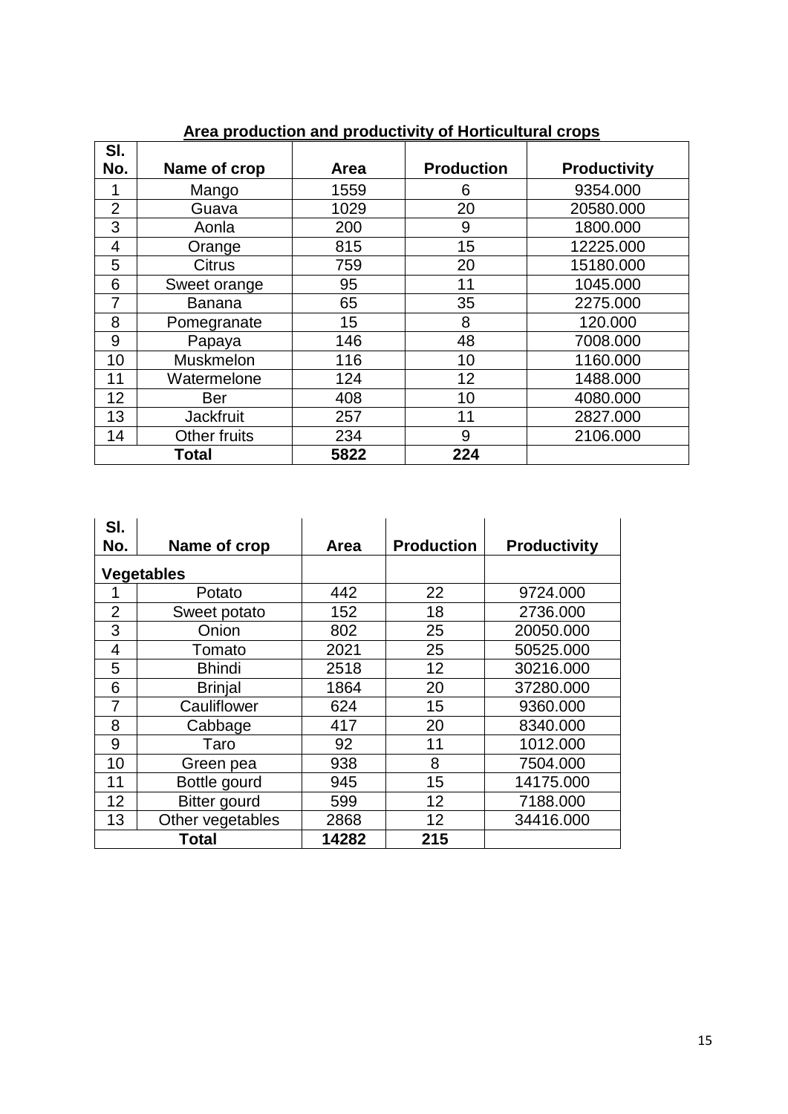|                |                  |      | .                 |                     |
|----------------|------------------|------|-------------------|---------------------|
| SI.<br>No.     | Name of crop     | Area | <b>Production</b> | <b>Productivity</b> |
| 1              | Mango            | 1559 | 6                 | 9354.000            |
| $\overline{2}$ | Guava            | 1029 | 20                | 20580.000           |
| 3              | Aonla            | 200  | 9                 | 1800.000            |
| 4              | Orange           | 815  | 15                | 12225.000           |
| 5              | <b>Citrus</b>    | 759  | 20                | 15180.000           |
| 6              | Sweet orange     | 95   | 11                | 1045.000            |
| $\overline{7}$ | <b>Banana</b>    | 65   | 35                | 2275.000            |
| 8              | Pomegranate      | 15   | 8                 | 120.000             |
| 9              | Papaya           | 146  | 48                | 7008.000            |
| 10             | Muskmelon        | 116  | 10                | 1160.000            |
| 11             | Watermelone      | 124  | 12                | 1488.000            |
| 12             | <b>Ber</b>       | 408  | 10                | 4080.000            |
| 13             | <b>Jackfruit</b> | 257  | 11                | 2827.000            |
| 14             | Other fruits     | 234  | 9                 | 2106.000            |
|                | Total            | 5822 | 224               |                     |

## **Area production and productivity of Horticultural crops**

| SI.<br>No. | Name of crop        | Area  | <b>Production</b> | <b>Productivity</b> |
|------------|---------------------|-------|-------------------|---------------------|
|            | <b>Vegetables</b>   |       |                   |                     |
|            | Potato              | 442   | 22                | 9724.000            |
| 2          | Sweet potato        | 152   | 18                | 2736.000            |
| 3          | Onion               | 802   | 25                | 20050.000           |
| 4          | Tomato              | 2021  | 25                | 50525.000           |
| 5          | <b>Bhindi</b>       | 2518  | 12                | 30216.000           |
| 6          | <b>Brinjal</b>      | 1864  | 20                | 37280.000           |
| 7          | Cauliflower         | 624   | 15                | 9360.000            |
| 8          | Cabbage             | 417   | 20                | 8340.000            |
| 9          | Taro                | 92    | 11                | 1012.000            |
| 10         | Green pea           | 938   | 8                 | 7504.000            |
| 11         | Bottle gourd        | 945   | 15                | 14175.000           |
| 12         | <b>Bitter gourd</b> | 599   | 12 <sup>2</sup>   | 7188.000            |
| 13         | Other vegetables    | 2868  | $12 \overline{ }$ | 34416.000           |
|            | <b>Total</b>        | 14282 | 215               |                     |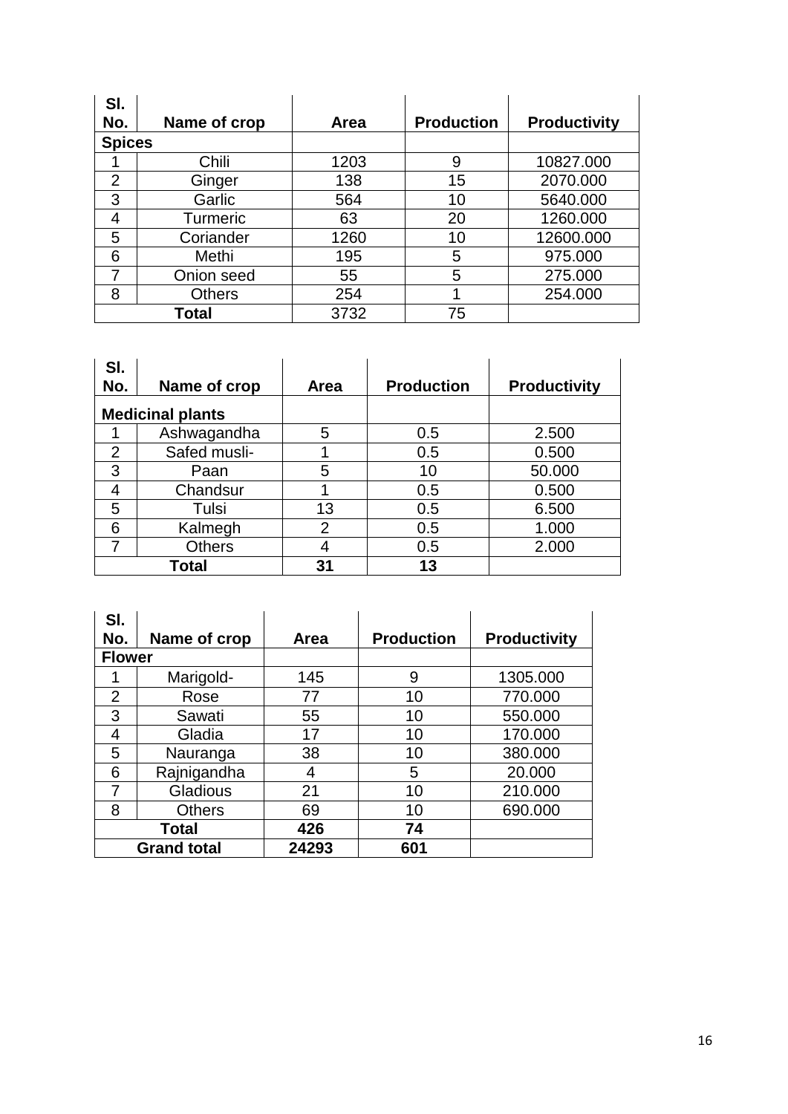| SI.            |               |      |                   |                     |
|----------------|---------------|------|-------------------|---------------------|
| No.            | Name of crop  | Area | <b>Production</b> | <b>Productivity</b> |
| <b>Spices</b>  |               |      |                   |                     |
|                | Chili         | 1203 | 9                 | 10827.000           |
| $\overline{2}$ | Ginger        | 138  | 15                | 2070.000            |
| 3              | Garlic        | 564  | 10                | 5640.000            |
| 4              | Turmeric      | 63   | 20                | 1260.000            |
| 5              | Coriander     | 1260 | 10                | 12600.000           |
| 6              | Methi         | 195  | 5                 | 975.000             |
| 7              | Onion seed    | 55   | 5                 | 275.000             |
| 8              | <b>Others</b> | 254  |                   | 254.000             |
|                | <b>Total</b>  | 3732 | 75                |                     |

| SI.<br>No. | Name of crop            | <b>Area</b>    | <b>Production</b> | <b>Productivity</b> |
|------------|-------------------------|----------------|-------------------|---------------------|
|            |                         |                |                   |                     |
|            | <b>Medicinal plants</b> |                |                   |                     |
|            | Ashwagandha             | 5              | 0.5               | 2.500               |
| 2          | Safed musli-            |                | 0.5               | 0.500               |
| 3          | Paan                    | 5              | 10                | 50.000              |
| 4          | Chandsur                |                | 0.5               | 0.500               |
| 5          | Tulsi                   | 13             | 0.5               | 6.500               |
| 6          | Kalmegh                 | $\overline{2}$ | 0.5               | 1.000               |
|            | <b>Others</b>           | 4              | 0.5               | 2.000               |
|            | Total                   | 31             | 13                |                     |

| SI.<br>No.     | Name of crop       | Area  | <b>Production</b> | <b>Productivity</b> |
|----------------|--------------------|-------|-------------------|---------------------|
| <b>Flower</b>  |                    |       |                   |                     |
|                | Marigold-          | 145   | 9                 | 1305.000            |
| $\overline{2}$ | Rose               | 77    | 10                | 770.000             |
| 3              | Sawati             | 55    | 10                | 550.000             |
| 4              | Gladia             | 17    | 10                | 170.000             |
| 5              | Nauranga           | 38    | 10                | 380.000             |
| 6              | Rajnigandha        | 4     | 5                 | 20.000              |
| 7              | Gladious           | 21    | 10                | 210.000             |
| 8              | <b>Others</b>      | 69    | 10                | 690.000             |
|                | <b>Total</b>       | 426   | 74                |                     |
|                | <b>Grand total</b> | 24293 | 601               |                     |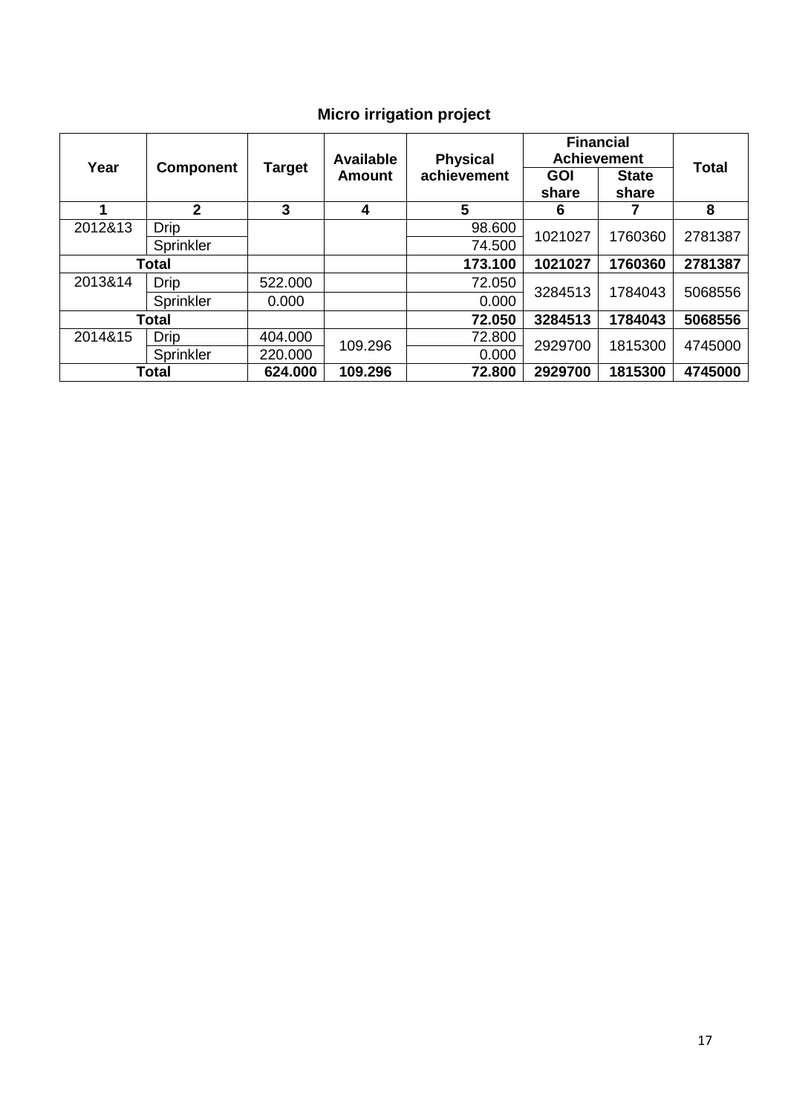# **Micro irrigation project**

| Year    |                  |               | <b>Available</b> | <b>Physical</b> | <b>Financial</b><br><b>Achievement</b> | <b>Total</b> |         |  |
|---------|------------------|---------------|------------------|-----------------|----------------------------------------|--------------|---------|--|
|         | <b>Component</b> | <b>Target</b> | Amount           | achievement     | <b>GOI</b>                             | <b>State</b> |         |  |
|         |                  |               |                  |                 | share                                  | share        |         |  |
| 1       | $\mathbf{2}$     | 3             | 4                | 5               | 6                                      |              | 8       |  |
| 2012&13 | <b>Drip</b>      |               |                  | 98.600          | 1021027                                | 1760360      | 2781387 |  |
|         | Sprinkler        |               |                  | 74.500          |                                        |              |         |  |
|         | <b>Total</b>     |               |                  | 173.100         | 1021027                                | 1760360      | 2781387 |  |
| 2013&14 | <b>Drip</b>      | 522.000       |                  | 72.050          | 3284513                                | 1784043      | 5068556 |  |
|         | Sprinkler        | 0.000         |                  | 0.000           |                                        |              |         |  |
|         | Total            |               |                  | 72.050          | 3284513                                | 1784043      | 5068556 |  |
| 2014&15 | <b>Drip</b>      | 404.000       | 109.296          | 72.800          | 2929700                                | 1815300      |         |  |
|         | Sprinkler        | 220.000       |                  | 0.000           |                                        |              | 4745000 |  |
|         | <b>Total</b>     | 624.000       | 109.296          | 72.800          | 2929700                                | 1815300      | 4745000 |  |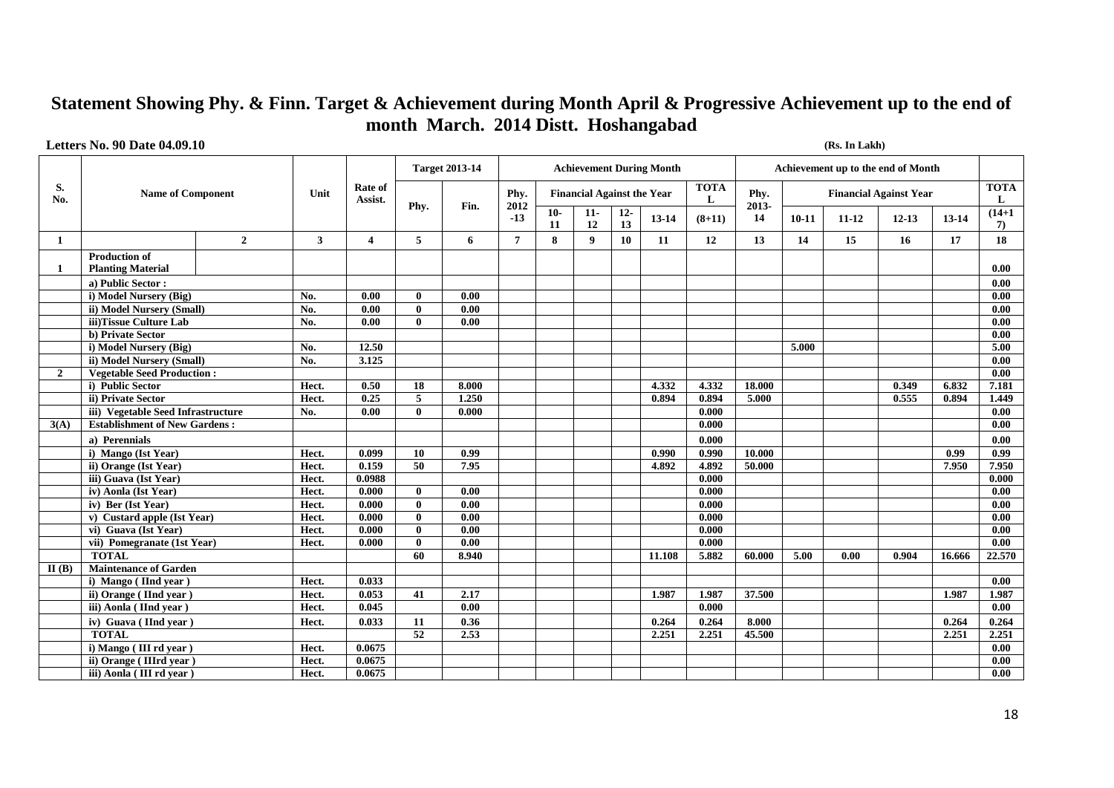## **Statement Showing Phy. & Finn. Target & Achievement during Month April & Progressive Achievement up to the end of month March. 2014 Distt. Hoshangabad**

#### **Letters No. 90 Date 04.09.10 (Rs. In Lakh)**

|                |                                                  |                |       |                         |              | <b>Target 2013-14</b> |                |             |                                   |              | <b>Achievement During Month</b> |                  |               |         | Achievement up to the end of Month |                               |        |                   |
|----------------|--------------------------------------------------|----------------|-------|-------------------------|--------------|-----------------------|----------------|-------------|-----------------------------------|--------------|---------------------------------|------------------|---------------|---------|------------------------------------|-------------------------------|--------|-------------------|
| S.<br>No.      | <b>Name of Component</b>                         |                | Unit  | Rate of<br>Assist.      | Phv.         |                       | Phy.<br>2012   |             | <b>Financial Against the Year</b> |              |                                 | <b>TOTA</b><br>L | Phy.<br>2013- |         |                                    | <b>Financial Against Year</b> |        | <b>TOTA</b><br>L  |
|                |                                                  |                |       |                         |              | Fin.                  | $-13$          | $10-$<br>11 | $11-$<br>12                       | $12 -$<br>13 | 13-14                           | $(8+11)$         | 14            | $10-11$ | $11 - 12$                          | $12 - 13$                     | 13-14  | $(14+1)$<br>7)    |
| 1              |                                                  | $\overline{2}$ | 3     | $\overline{\mathbf{4}}$ | 5            | 6                     | $\overline{7}$ | 8           | 9                                 | <b>10</b>    | 11                              | 12               | 13            | 14      | 15                                 | 16                            | 17     | 18                |
| -1             | <b>Production of</b><br><b>Planting Material</b> |                |       |                         |              |                       |                |             |                                   |              |                                 |                  |               |         |                                    |                               |        | 0.00              |
|                | a) Public Sector:                                |                |       |                         |              |                       |                |             |                                   |              |                                 |                  |               |         |                                    |                               |        | 0.00              |
|                | i) Model Nursery (Big)                           |                | No.   | 0.00                    | 0            | 0.00                  |                |             |                                   |              |                                 |                  |               |         |                                    |                               |        | 0.00              |
|                | ii) Model Nursery (Small)                        |                | No.   | 0.00                    | $\mathbf{0}$ | $\overline{0.00}$     |                |             |                                   |              |                                 |                  |               |         |                                    |                               |        | 0.00              |
|                | iii)Tissue Culture Lab                           |                | No.   | 0.00                    | $\mathbf{0}$ | 0.00                  |                |             |                                   |              |                                 |                  |               |         |                                    |                               |        | 0.00              |
|                | b) Private Sector                                |                |       |                         |              |                       |                |             |                                   |              |                                 |                  |               |         |                                    |                               |        | 0.00              |
|                | i) Model Nursery (Big)                           |                | No.   | 12.50                   |              |                       |                |             |                                   |              |                                 |                  |               | 5.000   |                                    |                               |        | 5.00              |
|                | ii) Model Nursery (Small)                        |                | No.   | 3.125                   |              |                       |                |             |                                   |              |                                 |                  |               |         |                                    |                               |        | 0.00              |
| $\overline{2}$ | <b>Vegetable Seed Production:</b>                |                |       |                         |              |                       |                |             |                                   |              |                                 |                  |               |         |                                    |                               |        | 0.00              |
|                | i) Public Sector                                 |                | Hect. | 0.50                    | 18           | 8.000                 |                |             |                                   |              | 4.332                           | 4.332            | 18.000        |         |                                    | 0.349                         | 6.832  | 7.181             |
|                | ii) Private Sector                               |                | Hect. | 0.25                    | 5            | 1,250                 |                |             |                                   |              | 0.894                           | 0.894            | 5,000         |         |                                    | 0.555                         | 0.894  | 1.449             |
|                | iii) Vegetable Seed Infrastructure               |                | No.   | 0.00                    | 0            | 0.000                 |                |             |                                   |              |                                 | 0.000            |               |         |                                    |                               |        | 0.00              |
| 3(A)           | <b>Establishment of New Gardens:</b>             |                |       |                         |              |                       |                |             |                                   |              |                                 | 0.000            |               |         |                                    |                               |        | 0.00              |
|                | a) Perennials                                    |                |       |                         |              |                       |                |             |                                   |              |                                 | 0.000            |               |         |                                    |                               |        | 0.00              |
|                | i) Mango (Ist Year)                              |                | Hect. | 0.099                   | 10           | 0.99                  |                |             |                                   |              | 0.990                           | 0.990            | 10.000        |         |                                    |                               | 0.99   | $\overline{0.99}$ |
|                | ii) Orange (Ist Year)                            |                | Hect. | 0.159                   | 50           | 7.95                  |                |             |                                   |              | 4.892                           | 4.892            | 50.000        |         |                                    |                               | 7.950  | 7.950             |
|                | iii) Guava (Ist Year)                            |                | Hect. | 0.0988                  |              |                       |                |             |                                   |              |                                 | 0.000            |               |         |                                    |                               |        | 0.000             |
|                | iv) Aonla (Ist Year)                             |                | Hect. | 0.000                   | $\mathbf{0}$ | 0.00                  |                |             |                                   |              |                                 | 0.000            |               |         |                                    |                               |        | 0.00              |
|                | iv) Ber (Ist Year)                               |                | Hect. | 0.000                   | $\mathbf{0}$ | 0.00                  |                |             |                                   |              |                                 | 0.000            |               |         |                                    |                               |        | 0.00              |
|                | v) Custard apple (Ist Year)                      |                | Hect. | 0.000                   | 0            | $\overline{0.00}$     |                |             |                                   |              |                                 | 0.000            |               |         |                                    |                               |        | 0.00              |
|                | vi) Guava (Ist Year)                             |                | Hect. | 0.000                   | $\mathbf{0}$ | $\overline{0.00}$     |                |             |                                   |              |                                 | 0.000            |               |         |                                    |                               |        | 0.00              |
|                | vii) Pomegranate (1st Year)                      |                | Hect. | 0.000                   | $\mathbf{0}$ | 0.00                  |                |             |                                   |              |                                 | 0.000            |               |         |                                    |                               |        | 0.00              |
|                | <b>TOTAL</b>                                     |                |       |                         | 60           | 8.940                 |                |             |                                   |              | 11.108                          | 5.882            | 60.000        | 5.00    | 0.00                               | 0.904                         | 16.666 | 22.570            |
| II(B)          | Maintenance of Garden                            |                |       |                         |              |                       |                |             |                                   |              |                                 |                  |               |         |                                    |                               |        |                   |
|                | i) Mango (IInd year)                             |                | Hect. | 0.033                   |              |                       |                |             |                                   |              |                                 |                  |               |         |                                    |                               |        | 0.00              |
|                | ii) Orange (IInd year)                           |                | Hect. | 0.053                   | 41           | 2.17                  |                |             |                                   |              | 1.987                           | 1.987            | 37.500        |         |                                    |                               | 1.987  | 1.987             |
|                | iii) Aonla (IInd year)                           |                | Hect. | 0.045                   |              | 0.00                  |                |             |                                   |              |                                 | 0.000            |               |         |                                    |                               |        | 0.00              |
|                | iv) Guava (IInd year)                            |                | Hect. | 0.033                   | 11           | 0.36                  |                |             |                                   |              | 0.264                           | 0.264            | 8.000         |         |                                    |                               | 0.264  | 0.264             |
|                | <b>TOTAL</b>                                     |                |       |                         | 52           | 2.53                  |                |             |                                   |              | 2.251                           | 2.251            | 45.500        |         |                                    |                               | 2.251  | 2.251             |
|                | i) Mango (III rd year)                           |                | Hect. | 0.0675                  |              |                       |                |             |                                   |              |                                 |                  |               |         |                                    |                               |        | 0.00              |
|                | ii) Orange (IIIrd year)                          |                | Hect. | 0.0675                  |              |                       |                |             |                                   |              |                                 |                  |               |         |                                    |                               |        | 0.00              |
|                | iii) Aonla (III rd vear)                         |                | Hect. | 0.0675                  |              |                       |                |             |                                   |              |                                 |                  |               |         |                                    |                               |        | 0.00              |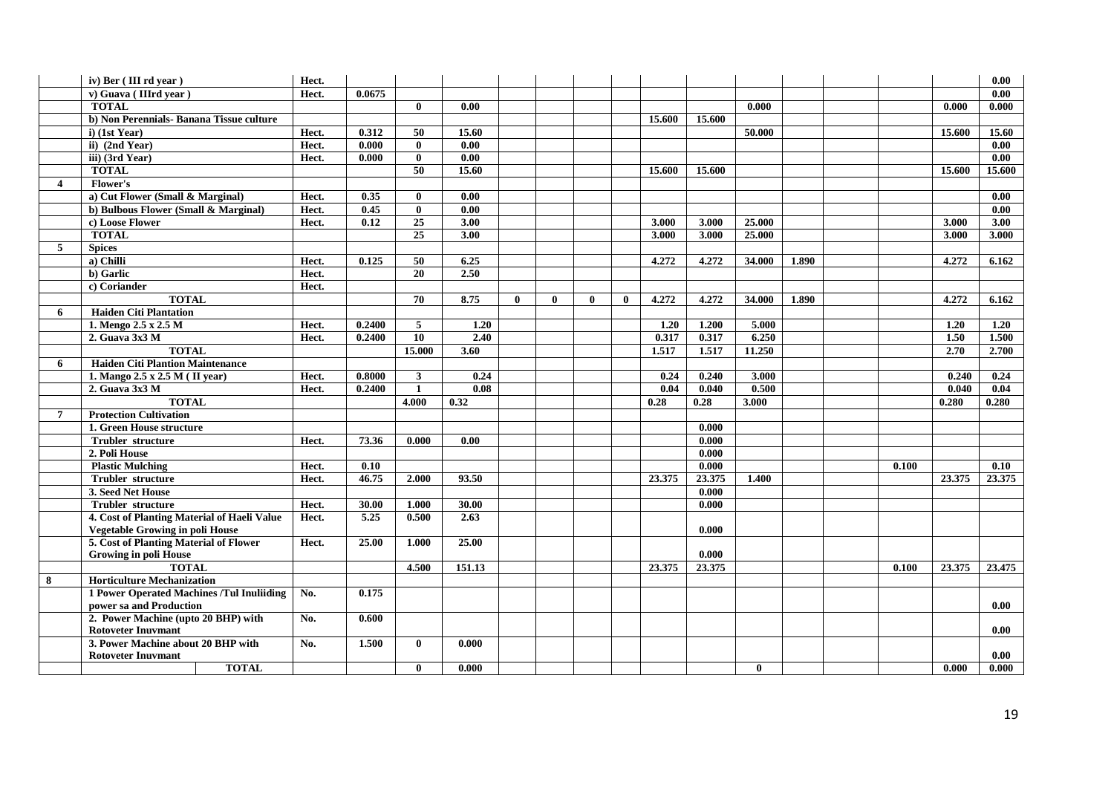|                         | iv) Ber (III rd year)                       | Hect. |        |                 |        |              |              |              |              |        |        |              |       |       |        | 0.00   |
|-------------------------|---------------------------------------------|-------|--------|-----------------|--------|--------------|--------------|--------------|--------------|--------|--------|--------------|-------|-------|--------|--------|
|                         | v) Guava (IIIrd vear)                       | Hect. | 0.0675 |                 |        |              |              |              |              |        |        |              |       |       |        | 0.00   |
|                         | <b>TOTAL</b>                                |       |        | 0               | 0.00   |              |              |              |              |        |        | 0.000        |       |       | 0.000  | 0.000  |
|                         | b) Non Perennials- Banana Tissue culture    |       |        |                 |        |              |              |              |              | 15.600 | 15.600 |              |       |       |        |        |
|                         | $i)$ (1st Year)                             | Hect. | 0.312  | 50              | 15.60  |              |              |              |              |        |        | 50.000       |       |       | 15.600 | 15.60  |
|                         | ii) (2nd Year)                              | Hect. | 0.000  | $\mathbf{0}$    | 0.00   |              |              |              |              |        |        |              |       |       |        | 0.00   |
|                         | iii) (3rd Year)                             | Hect. | 0.000  | $\bf{0}$        | 0.00   |              |              |              |              |        |        |              |       |       |        | 0.00   |
|                         | <b>TOTAL</b>                                |       |        | $\overline{50}$ | 15.60  |              |              |              |              | 15.600 | 15.600 |              |       |       | 15.600 | 15.600 |
| $\overline{\mathbf{4}}$ | <b>Flower's</b>                             |       |        |                 |        |              |              |              |              |        |        |              |       |       |        |        |
|                         | a) Cut Flower (Small & Marginal)            | Hect. | 0.35   | $\bf{0}$        | 0.00   |              |              |              |              |        |        |              |       |       |        | 0.00   |
|                         | b) Bulbous Flower (Small & Marginal)        | Hect. | 0.45   | $\mathbf{0}$    | 0.00   |              |              |              |              |        |        |              |       |       |        | 0.00   |
|                         | c) Loose Flower                             | Hect. | 0.12   | $\overline{25}$ | 3.00   |              |              |              |              | 3.000  | 3.000  | 25.000       |       |       | 3.000  | 3.00   |
|                         | <b>TOTAL</b>                                |       |        | $\overline{25}$ | 3.00   |              |              |              |              | 3.000  | 3.000  | 25.000       |       |       | 3.000  | 3.000  |
| 5                       | <b>Spices</b>                               |       |        |                 |        |              |              |              |              |        |        |              |       |       |        |        |
|                         | a) Chilli                                   | Hect. | 0.125  | 50              | 6.25   |              |              |              |              | 4.272  | 4.272  | 34.000       | 1.890 |       | 4.272  | 6.162  |
|                         | b) Garlic                                   | Hect. |        | 20              | 2.50   |              |              |              |              |        |        |              |       |       |        |        |
|                         | c) Coriander                                | Hect. |        |                 |        |              |              |              |              |        |        |              |       |       |        |        |
|                         | <b>TOTAL</b>                                |       |        | 70              | 8.75   | $\mathbf{0}$ | $\mathbf{0}$ | $\mathbf{0}$ | $\mathbf{0}$ | 4.272  | 4.272  | 34.000       | 1.890 |       | 4.272  | 6.162  |
| 6                       | <b>Haiden Citi Plantation</b>               |       |        |                 |        |              |              |              |              |        |        |              |       |       |        |        |
|                         | 1. Mengo 2.5 x 2.5 M                        | Hect. | 0.2400 | 5               | 1.20   |              |              |              |              | 1.20   | 1.200  | 5.000        |       |       | 1.20   | 1.20   |
|                         | 2. Guava 3x3 M                              | Hect. | 0.2400 | $\overline{10}$ | 2.40   |              |              |              |              | 0.317  | 0.317  | 6.250        |       |       | 1.50   | 1.500  |
|                         | <b>TOTAL</b>                                |       |        | 15.000          | 3.60   |              |              |              |              | 1.517  | 1.517  | 11.250       |       |       | 2.70   | 2.700  |
| 6                       | <b>Haiden Citi Plantion Maintenance</b>     |       |        |                 |        |              |              |              |              |        |        |              |       |       |        |        |
|                         | 1. Mango 2.5 x 2.5 M (II year)              | Hect. | 0.8000 | $\mathbf{3}$    | 0.24   |              |              |              |              | 0.24   | 0.240  | 3.000        |       |       | 0.240  | 0.24   |
|                         | 2. Guava 3x3 M                              | Hect. | 0.2400 | $\mathbf{1}$    | 0.08   |              |              |              |              | 0.04   | 0.040  | 0.500        |       |       | 0.040  | 0.04   |
|                         | <b>TOTAL</b>                                |       |        | 4.000           | 0.32   |              |              |              |              | 0.28   | 0.28   | 3,000        |       |       | 0.280  | 0.280  |
| 7                       | <b>Protection Cultivation</b>               |       |        |                 |        |              |              |              |              |        |        |              |       |       |        |        |
|                         | 1. Green House structure                    |       |        |                 |        |              |              |              |              |        | 0.000  |              |       |       |        |        |
|                         | <b>Trubler structure</b>                    | Hect. | 73.36  | 0.000           | 0.00   |              |              |              |              |        | 0.000  |              |       |       |        |        |
|                         | 2. Poli House                               |       |        |                 |        |              |              |              |              |        | 0.000  |              |       |       |        |        |
|                         | <b>Plastic Mulching</b>                     | Hect. | 0.10   |                 |        |              |              |              |              |        | 0.000  |              |       | 0.100 |        | 0.10   |
|                         | Trubler structure                           | Hect. | 46.75  | 2.000           | 93.50  |              |              |              |              | 23.375 | 23.375 | 1.400        |       |       | 23.375 | 23.375 |
|                         | 3. Seed Net House                           |       |        |                 |        |              |              |              |              |        | 0.000  |              |       |       |        |        |
|                         | <b>Trubler</b> structure                    | Hect. | 30.00  | 1.000           | 30.00  |              |              |              |              |        | 0.000  |              |       |       |        |        |
|                         | 4. Cost of Planting Material of Haeli Value | Hect. | 5.25   | 0.500           | 2.63   |              |              |              |              |        |        |              |       |       |        |        |
|                         | <b>Vegetable Growing in poli House</b>      |       |        |                 |        |              |              |              |              |        | 0.000  |              |       |       |        |        |
|                         | 5. Cost of Planting Material of Flower      | Hect. | 25.00  | 1.000           | 25.00  |              |              |              |              |        |        |              |       |       |        |        |
|                         | <b>Growing in poli House</b>                |       |        |                 |        |              |              |              |              |        | 0.000  |              |       |       |        |        |
|                         | <b>TOTAL</b>                                |       |        | 4.500           | 151.13 |              |              |              |              | 23.375 | 23.375 |              |       | 0.100 | 23.375 | 23.475 |
| 8                       | <b>Horticulture Mechanization</b>           |       |        |                 |        |              |              |              |              |        |        |              |       |       |        |        |
|                         | 1 Power Operated Machines /Tul Inuliiding   | No.   | 0.175  |                 |        |              |              |              |              |        |        |              |       |       |        |        |
|                         | power sa and Production                     |       |        |                 |        |              |              |              |              |        |        |              |       |       |        | 0.00   |
|                         | 2. Power Machine (upto 20 BHP) with         | No.   | 0.600  |                 |        |              |              |              |              |        |        |              |       |       |        |        |
|                         | <b>Rotoveter Inuvmant</b>                   |       |        |                 |        |              |              |              |              |        |        |              |       |       |        | 0.00   |
|                         | 3. Power Machine about 20 BHP with          | No.   | 1.500  | $\mathbf{0}$    | 0.000  |              |              |              |              |        |        |              |       |       |        |        |
|                         | <b>Rotoveter Inuvmant</b>                   |       |        |                 |        |              |              |              |              |        |        |              |       |       |        | 0.00   |
|                         | <b>TOTAL</b>                                |       |        | $\mathbf{0}$    | 0.000  |              |              |              |              |        |        | $\mathbf{0}$ |       |       | 0.000  | 0.000  |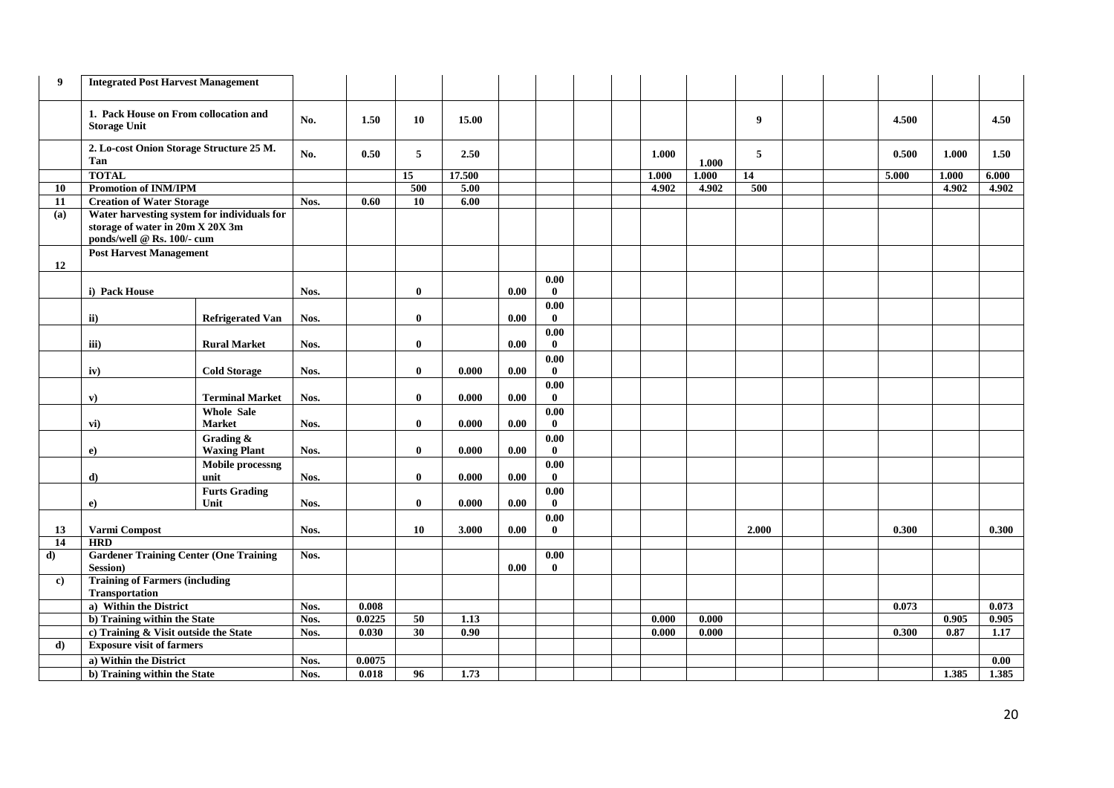| 9            | <b>Integrated Post Harvest Management</b>                                                                     |                                    |      |                 |              |              |      |                      |  |                |       |       |  |       |       |                   |
|--------------|---------------------------------------------------------------------------------------------------------------|------------------------------------|------|-----------------|--------------|--------------|------|----------------------|--|----------------|-------|-------|--|-------|-------|-------------------|
|              | 1. Pack House on From collocation and<br><b>Storage Unit</b>                                                  |                                    | No.  | 1.50            | 10           | 15.00        |      |                      |  |                |       | 9     |  | 4.500 |       | 4.50              |
|              | 2. Lo-cost Onion Storage Structure 25 M.<br>Tan                                                               |                                    | No.  | 0.50            | 5            | 2.50         |      |                      |  | 1.000          | 1.000 | 5     |  | 0.500 | 1.000 | 1.50              |
|              | <b>TOTAL</b>                                                                                                  |                                    |      |                 | 15           | 17.500       |      |                      |  | 1.000          | 1.000 | 14    |  | 5.000 | 1.000 | 6.000             |
| 10           | <b>Promotion of INM/IPM</b>                                                                                   |                                    |      |                 | 500          | 5.00         |      |                      |  | 4.902          | 4.902 | 500   |  |       | 4.902 | 4.902             |
| 11           | <b>Creation of Water Storage</b>                                                                              |                                    | Nos. | 0.60            | 10           | 6.00         |      |                      |  |                |       |       |  |       |       |                   |
| (a)          | Water harvesting system for individuals for<br>storage of water in 20m X 20X 3m<br>ponds/well @ Rs. 100/- cum |                                    |      |                 |              |              |      |                      |  |                |       |       |  |       |       |                   |
| 12           | <b>Post Harvest Management</b>                                                                                |                                    |      |                 |              |              |      |                      |  |                |       |       |  |       |       |                   |
|              |                                                                                                               |                                    |      |                 |              |              |      | 0.00                 |  |                |       |       |  |       |       |                   |
|              | i) Pack House                                                                                                 |                                    | Nos. |                 | $\bf{0}$     |              | 0.00 | $\mathbf{0}$         |  |                |       |       |  |       |       |                   |
|              |                                                                                                               |                                    |      |                 |              |              |      | 0.00                 |  |                |       |       |  |       |       |                   |
|              | $\mathbf{ii}$                                                                                                 | <b>Refrigerated Van</b>            | Nos. |                 | $\mathbf{0}$ |              | 0.00 | $\mathbf{0}$         |  |                |       |       |  |       |       |                   |
|              |                                                                                                               |                                    |      |                 | $\bf{0}$     |              | 0.00 | $0.00\,$             |  |                |       |       |  |       |       |                   |
|              | iii)                                                                                                          | <b>Rural Market</b>                | Nos. |                 |              |              |      | $\bf{0}$             |  |                |       |       |  |       |       |                   |
|              | iv)                                                                                                           | <b>Cold Storage</b>                | Nos. |                 | $\mathbf{0}$ | 0.000        | 0.00 | 0.00<br>$\mathbf{0}$ |  |                |       |       |  |       |       |                   |
|              | $\mathbf{v}$                                                                                                  | <b>Terminal Market</b>             | Nos. |                 | $\mathbf{0}$ | 0.000        | 0.00 | 0.00<br>$\mathbf{0}$ |  |                |       |       |  |       |       |                   |
|              | $\mathbf{vi})$                                                                                                | <b>Whole Sale</b><br><b>Market</b> | Nos. |                 | $\mathbf{0}$ | 0.000        | 0.00 | 0.00<br>$\bf{0}$     |  |                |       |       |  |       |       |                   |
|              | $\bf{e}$                                                                                                      | Grading &<br><b>Waxing Plant</b>   | Nos. |                 | $\bf{0}$     | 0.000        | 0.00 | 0.00<br>$\mathbf{0}$ |  |                |       |       |  |       |       |                   |
|              |                                                                                                               | Mobile processng                   |      |                 |              |              |      | 0.00                 |  |                |       |       |  |       |       |                   |
|              | d)                                                                                                            | unit                               | Nos. |                 | $\mathbf{0}$ | 0.000        | 0.00 | $\mathbf{0}$         |  |                |       |       |  |       |       |                   |
|              |                                                                                                               | <b>Furts Grading</b>               |      |                 |              |              |      | 0.00                 |  |                |       |       |  |       |       |                   |
|              | $\bf e)$                                                                                                      | Unit                               | Nos. |                 | $\mathbf{0}$ | 0.000        | 0.00 | $\mathbf{0}$         |  |                |       |       |  |       |       |                   |
|              |                                                                                                               |                                    |      |                 |              |              |      | 0.00                 |  |                |       |       |  |       |       |                   |
| 13           | Varmi Compost                                                                                                 |                                    | Nos. |                 | 10           | 3.000        | 0.00 | $\bf{0}$             |  |                |       | 2.000 |  | 0.300 |       | 0.300             |
| 14           | <b>HRD</b>                                                                                                    |                                    |      |                 |              |              |      |                      |  |                |       |       |  |       |       |                   |
| $\mathbf{d}$ | <b>Gardener Training Center (One Training</b>                                                                 |                                    | Nos. |                 |              |              |      | 0.00                 |  |                |       |       |  |       |       |                   |
|              | <b>Session</b> )                                                                                              |                                    |      |                 |              |              | 0.00 | $\mathbf{0}$         |  |                |       |       |  |       |       |                   |
| $\bf c)$     | <b>Training of Farmers (including</b>                                                                         |                                    |      |                 |              |              |      |                      |  |                |       |       |  |       |       |                   |
|              | Transportation                                                                                                |                                    |      |                 |              |              |      |                      |  |                |       |       |  |       |       |                   |
|              | a) Within the District                                                                                        |                                    | Nos. | 0.008           |              |              |      |                      |  |                |       |       |  | 0.073 |       | 0.073             |
|              | b) Training within the State                                                                                  |                                    | Nos. | 0.0225<br>0.030 | 50<br>30     | 1.13<br>0.90 |      |                      |  | 0.000<br>0.000 | 0.000 |       |  |       | 0.905 | 0.905             |
| $\mathbf{d}$ | c) Training & Visit outside the State                                                                         |                                    | Nos. |                 |              |              |      |                      |  |                | 0.000 |       |  | 0.300 | 0.87  | 1.17              |
|              | <b>Exposure visit of farmers</b>                                                                              |                                    |      |                 |              |              |      |                      |  |                |       |       |  |       |       |                   |
|              |                                                                                                               |                                    | Nos. | 0.0075          |              |              |      |                      |  |                |       |       |  |       |       | $\overline{0.00}$ |
|              | a) Within the District<br>b) Training within the State                                                        |                                    | Nos. | 0.018           | 96           | 1,73         |      |                      |  |                |       |       |  |       | 1.385 | 1.385             |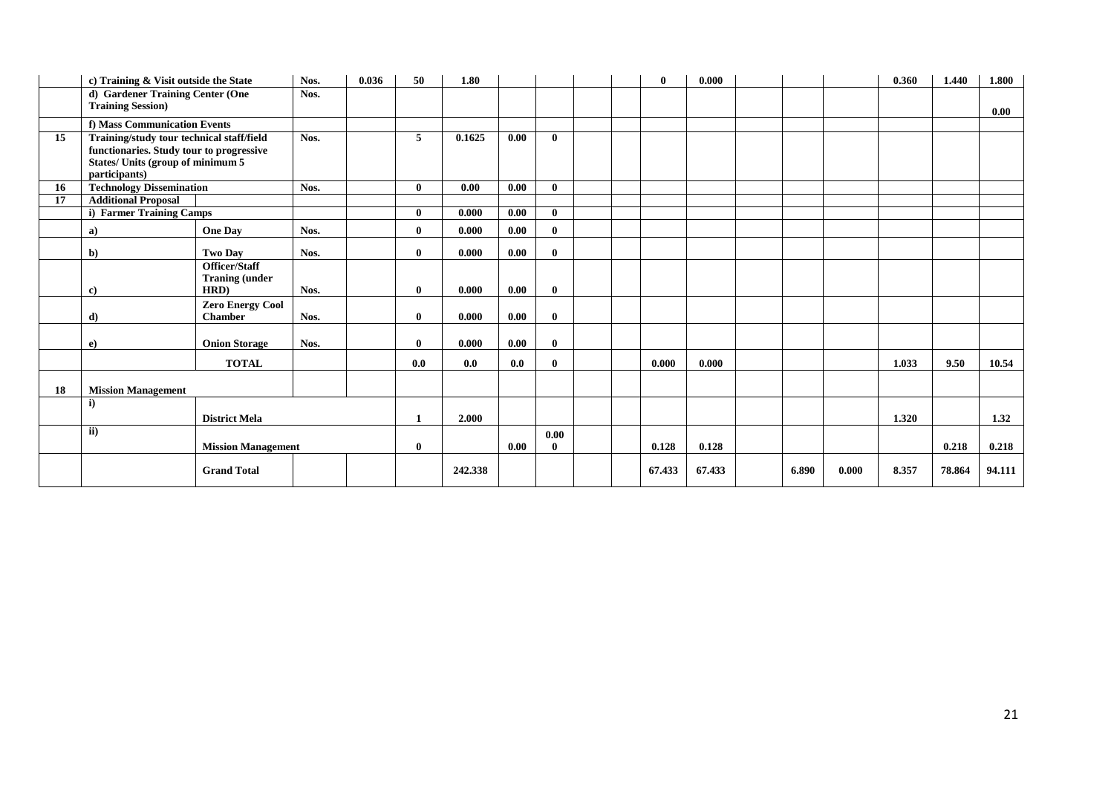|    | c) Training & Visit outside the State            |                           | Nos. | 0.036 | 50           | 1.80    |      |              |  | $\mathbf{0}$ | 0.000  |       |       | 0.360 | 1.440  | 1.800  |
|----|--------------------------------------------------|---------------------------|------|-------|--------------|---------|------|--------------|--|--------------|--------|-------|-------|-------|--------|--------|
|    | d) Gardener Training Center (One                 |                           | Nos. |       |              |         |      |              |  |              |        |       |       |       |        |        |
|    | <b>Training Session)</b>                         |                           |      |       |              |         |      |              |  |              |        |       |       |       |        | 0.00   |
|    | f) Mass Communication Events                     |                           |      |       |              |         |      |              |  |              |        |       |       |       |        |        |
| 15 | Training/study tour technical staff/field        |                           | Nos. |       | 5            | 0.1625  | 0.00 | $\mathbf{0}$ |  |              |        |       |       |       |        |        |
|    | functionaries. Study tour to progressive         |                           |      |       |              |         |      |              |  |              |        |       |       |       |        |        |
|    | States/ Units (group of minimum 5                |                           |      |       |              |         |      |              |  |              |        |       |       |       |        |        |
| 16 | participants)<br><b>Technology Dissemination</b> |                           | Nos. |       | $\mathbf{0}$ | 0.00    | 0.00 | $\mathbf{0}$ |  |              |        |       |       |       |        |        |
| 17 | <b>Additional Proposal</b>                       |                           |      |       |              |         |      |              |  |              |        |       |       |       |        |        |
|    | i) Farmer Training Camps                         |                           |      |       | $\mathbf{0}$ | 0.000   | 0.00 | $\mathbf{0}$ |  |              |        |       |       |       |        |        |
|    | a)                                               | <b>One Day</b>            | Nos. |       | $\bf{0}$     | 0.000   | 0.00 | $\mathbf{0}$ |  |              |        |       |       |       |        |        |
|    | $\mathbf{b}$                                     | <b>Two Day</b>            | Nos. |       | $\mathbf{0}$ | 0.000   | 0.00 | $\bf{0}$     |  |              |        |       |       |       |        |        |
|    |                                                  | <b>Officer/Staff</b>      |      |       |              |         |      |              |  |              |        |       |       |       |        |        |
|    |                                                  | <b>Traning (under</b>     |      |       |              |         |      |              |  |              |        |       |       |       |        |        |
|    | $\mathbf{c}$                                     | HRD)                      | Nos. |       | $\bf{0}$     | 0.000   | 0.00 | $\mathbf{0}$ |  |              |        |       |       |       |        |        |
|    |                                                  | <b>Zero Energy Cool</b>   |      |       |              |         |      |              |  |              |        |       |       |       |        |        |
|    | d)                                               | <b>Chamber</b>            | Nos. |       | $\mathbf{0}$ | 0.000   | 0.00 | $\mathbf{0}$ |  |              |        |       |       |       |        |        |
|    | $\bf e)$                                         | <b>Onion Storage</b>      | Nos. |       | $\bf{0}$     | 0.000   | 0.00 | $\mathbf{0}$ |  |              |        |       |       |       |        |        |
|    |                                                  | <b>TOTAL</b>              |      |       | 0.0          | 0.0     | 0.0  | $\mathbf{0}$ |  | 0.000        | 0.000  |       |       | 1.033 | 9.50   | 10.54  |
| 18 | <b>Mission Management</b>                        |                           |      |       |              |         |      |              |  |              |        |       |       |       |        |        |
|    | $\mathbf{i}$                                     |                           |      |       |              |         |      |              |  |              |        |       |       |       |        |        |
|    |                                                  | <b>District Mela</b>      |      |       | 1            | 2.000   |      |              |  |              |        |       |       | 1.320 |        | 1.32   |
|    | ii)                                              |                           |      |       |              |         |      | 0.00         |  |              |        |       |       |       |        |        |
|    |                                                  | <b>Mission Management</b> |      |       | $\bf{0}$     |         | 0.00 | $\mathbf{0}$ |  | 0.128        | 0.128  |       |       |       | 0.218  | 0.218  |
|    |                                                  | <b>Grand Total</b>        |      |       |              | 242.338 |      |              |  | 67.433       | 67.433 | 6.890 | 0.000 | 8.357 | 78.864 | 94.111 |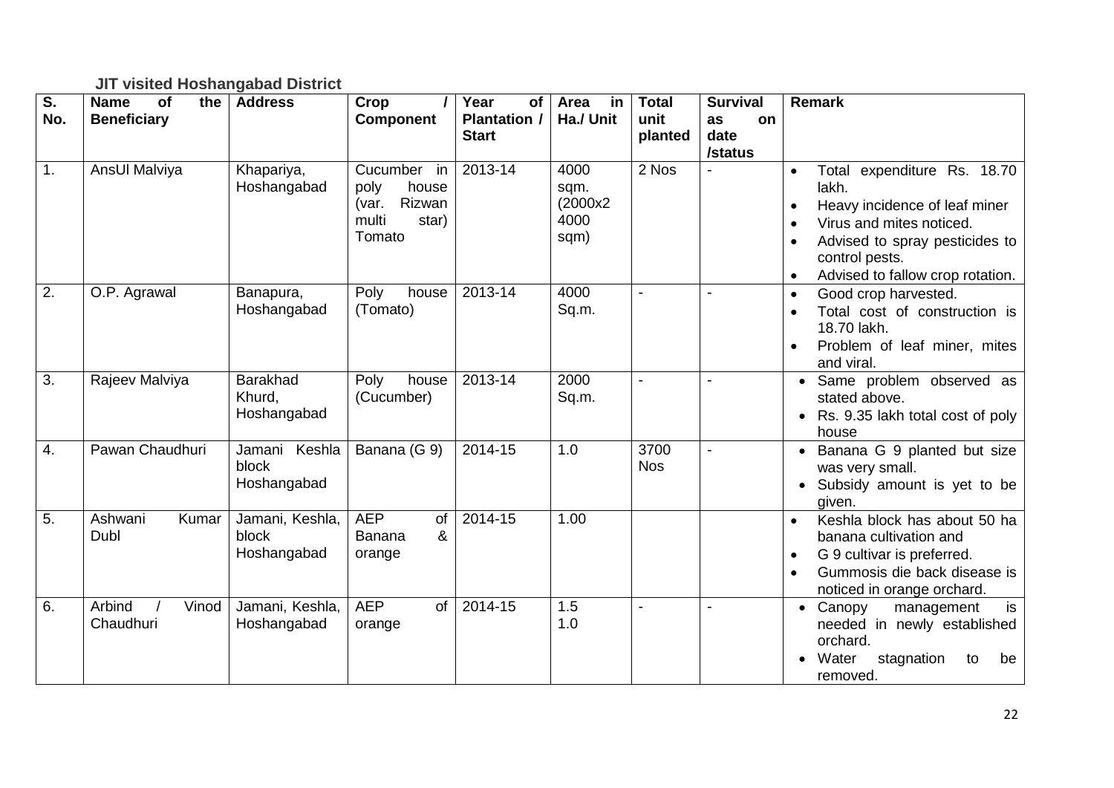## **JIT visited Hoshangabad District**

| $\overline{\mathsf{s}}$ .<br>No. | <b>Name</b><br>of<br>the<br><b>Beneficiary</b> | <b>Address</b>                           | Crop<br><b>Component</b>                                                    | Year<br><b>of</b><br><b>Plantation /</b> | Area<br>in<br>Ha./ Unit                  | <b>Total</b><br>unit | <b>Survival</b><br>as<br><b>on</b> | <b>Remark</b>                                                                                                                                                                                                                    |
|----------------------------------|------------------------------------------------|------------------------------------------|-----------------------------------------------------------------------------|------------------------------------------|------------------------------------------|----------------------|------------------------------------|----------------------------------------------------------------------------------------------------------------------------------------------------------------------------------------------------------------------------------|
|                                  |                                                |                                          |                                                                             | <b>Start</b>                             |                                          | planted              | date<br>/status                    |                                                                                                                                                                                                                                  |
| 1.                               | AnsUl Malviya                                  | Khapariya,<br>Hoshangabad                | Cucumber in<br>house<br>poly<br>Rizwan<br>(var.<br>multi<br>star)<br>Tomato | $2013 - 14$                              | 4000<br>sqm.<br>(2000x2)<br>4000<br>sqm) | 2 Nos                |                                    | Total expenditure Rs. 18.70<br>lakh.<br>Heavy incidence of leaf miner<br>$\bullet$<br>Virus and mites noticed.<br>$\bullet$<br>Advised to spray pesticides to<br>control pests.<br>Advised to fallow crop rotation.<br>$\bullet$ |
| 2.                               | O.P. Agrawal                                   | Banapura,<br>Hoshangabad                 | Poly<br>house<br>(Tomato)                                                   | 2013-14                                  | 4000<br>Sq.m.                            |                      |                                    | Good crop harvested.<br>$\bullet$<br>Total cost of construction is<br>$\bullet$<br>18.70 lakh.<br>Problem of leaf miner, mites<br>and viral.                                                                                     |
| 3.                               | Rajeev Malviya                                 | <b>Barakhad</b><br>Khurd,<br>Hoshangabad | Poly<br>house<br>(Cucumber)                                                 | 2013-14                                  | 2000<br>Sq.m.                            |                      |                                    | • Same problem observed as<br>stated above.<br>Rs. 9.35 lakh total cost of poly<br>house                                                                                                                                         |
| 4.                               | Pawan Chaudhuri                                | Jamani Keshla<br>block<br>Hoshangabad    | Banana (G 9)                                                                | 2014-15                                  | 1.0                                      | 3700<br><b>Nos</b>   |                                    | • Banana G 9 planted but size<br>was very small.<br>• Subsidy amount is yet to be<br>given.                                                                                                                                      |
| 5.                               | Ashwani<br>Kumar<br>Dubl                       | Jamani, Keshla,<br>block<br>Hoshangabad  | <b>AEP</b><br>of<br>&<br>Banana<br>orange                                   | 2014-15                                  | 1.00                                     |                      |                                    | Keshla block has about 50 ha<br>$\bullet$<br>banana cultivation and<br>G 9 cultivar is preferred.<br>$\bullet$<br>Gummosis die back disease is<br>$\bullet$<br>noticed in orange orchard.                                        |
| 6.                               | Arbind<br>Vinod<br>Chaudhuri                   | Jamani, Keshla,<br>Hoshangabad           | <b>AEP</b><br><sub>of</sub><br>orange                                       | 2014-15                                  | 1.5<br>1.0                               |                      |                                    | is<br>• Canopy<br>management<br>needed in newly established<br>orchard.<br>Water<br>stagnation<br>to<br>be<br>removed.                                                                                                           |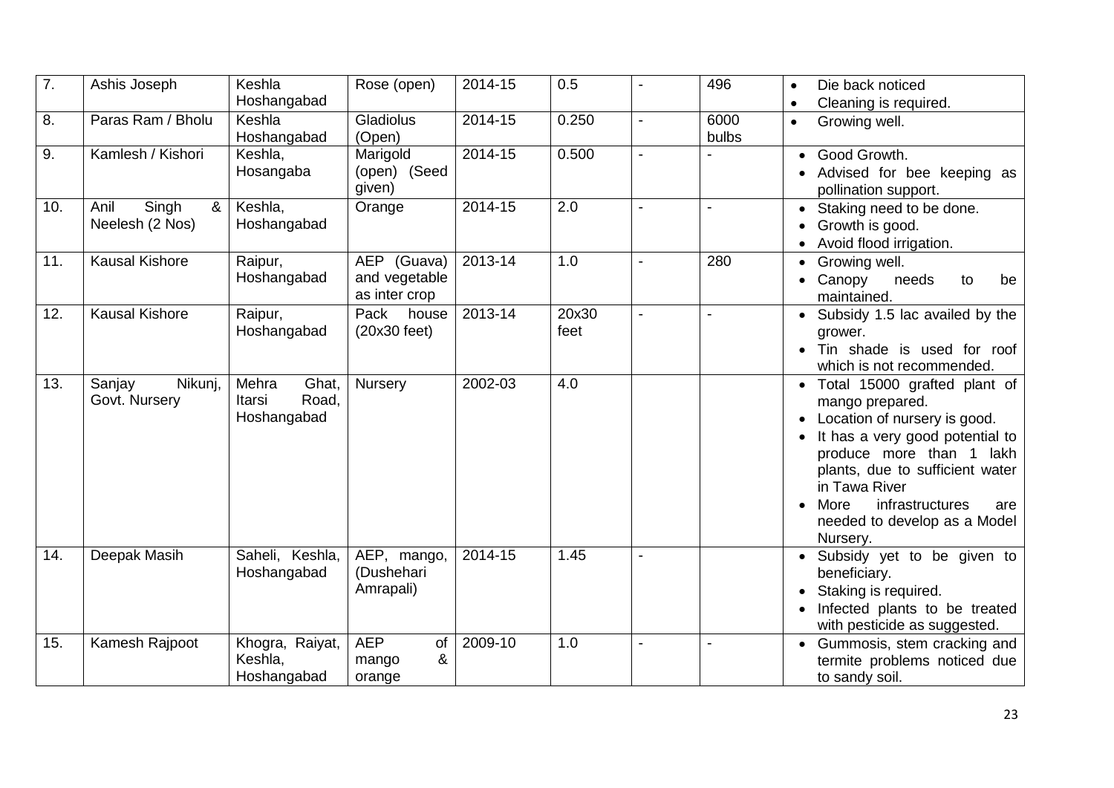| $\overline{7}$ . | Ashis Joseph                          | Keshla<br>Hoshangabad                            | Rose (open)                                   | 2014-15     | 0.5           |                | 496           | Die back noticed<br>$\bullet$<br>Cleaning is required.<br>$\bullet$                                                                                                                                                                                                                  |
|------------------|---------------------------------------|--------------------------------------------------|-----------------------------------------------|-------------|---------------|----------------|---------------|--------------------------------------------------------------------------------------------------------------------------------------------------------------------------------------------------------------------------------------------------------------------------------------|
| 8.               | Paras Ram / Bholu                     | Keshla<br>Hoshangabad                            | Gladiolus<br>(Open)                           | 2014-15     | 0.250         |                | 6000<br>bulbs | Growing well.<br>$\bullet$                                                                                                                                                                                                                                                           |
| 9.               | Kamlesh / Kishori                     | Keshla,<br>Hosangaba                             | Marigold<br>(open) (Seed<br>given)            | $2014 - 15$ | 0.500         |                |               | • Good Growth.<br>• Advised for bee keeping as<br>pollination support.                                                                                                                                                                                                               |
| 10.              | Singh<br>&<br>Anil<br>Neelesh (2 Nos) | Keshla,<br>Hoshangabad                           | Orange                                        | 2014-15     | 2.0           | $\blacksquare$ |               | • Staking need to be done.<br>• Growth is good.<br>• Avoid flood irrigation.                                                                                                                                                                                                         |
| 11.              | <b>Kausal Kishore</b>                 | Raipur,<br>Hoshangabad                           | AEP (Guava)<br>and vegetable<br>as inter crop | 2013-14     | 1.0           |                | 280           | • Growing well.<br>• Canopy<br>needs<br>be<br>to<br>maintained.                                                                                                                                                                                                                      |
| 12.              | <b>Kausal Kishore</b>                 | Raipur,<br>Hoshangabad                           | Pack<br>house<br>$(20x30 \text{ feet})$       | 2013-14     | 20x30<br>feet | $\blacksquare$ |               | • Subsidy 1.5 lac availed by the<br>grower.<br>• Tin shade is used for roof<br>which is not recommended.                                                                                                                                                                             |
| 13.              | Nikunj,<br>Sanjay<br>Govt. Nursery    | Mehra<br>Ghat,<br>Road,<br>Itarsi<br>Hoshangabad | Nursery                                       | 2002-03     | 4.0           |                |               | · Total 15000 grafted plant of<br>mango prepared.<br>• Location of nursery is good.<br>It has a very good potential to<br>produce more than 1 lakh<br>plants, due to sufficient water<br>in Tawa River<br>infrastructures<br>More<br>are<br>needed to develop as a Model<br>Nursery. |
| 14.              | Deepak Masih                          | Saheli, Keshla,<br>Hoshangabad                   | AEP, mango,<br>(Dushehari<br>Amrapali)        | 2014-15     | 1.45          |                |               | • Subsidy yet to be given to<br>beneficiary.<br>Staking is required.<br>Infected plants to be treated<br>with pesticide as suggested.                                                                                                                                                |
| 15.              | Kamesh Rajpoot                        | Khogra, Raiyat,<br>Keshla,<br>Hoshangabad        | <b>AEP</b><br>of<br>&<br>mango<br>orange      | 2009-10     | 1.0           |                |               | • Gummosis, stem cracking and<br>termite problems noticed due<br>to sandy soil.                                                                                                                                                                                                      |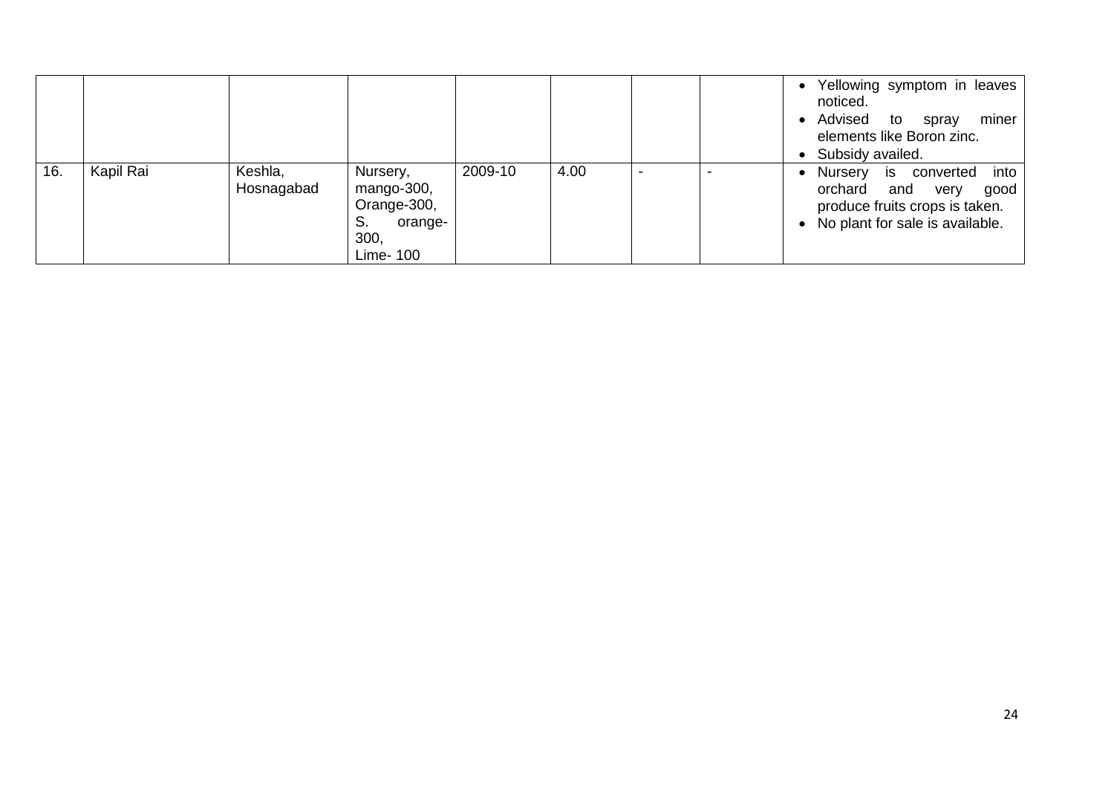|     |           |                       |                                                                             |         |      |  | • Yellowing symptom in leaves<br>noticed.<br>• Advised to spray<br>miner<br>elements like Boron zinc.<br>• Subsidy availed.     |
|-----|-----------|-----------------------|-----------------------------------------------------------------------------|---------|------|--|---------------------------------------------------------------------------------------------------------------------------------|
| 16. | Kapil Rai | Keshla,<br>Hosnagabad | Nursery,<br>mango-300,<br>Orange-300,<br>S.<br>orange-<br>300,<br>Lime- 100 | 2009-10 | 4.00 |  | is converted into<br>Nursery<br>orchard and very<br>good<br>produce fruits crops is taken.<br>• No plant for sale is available. |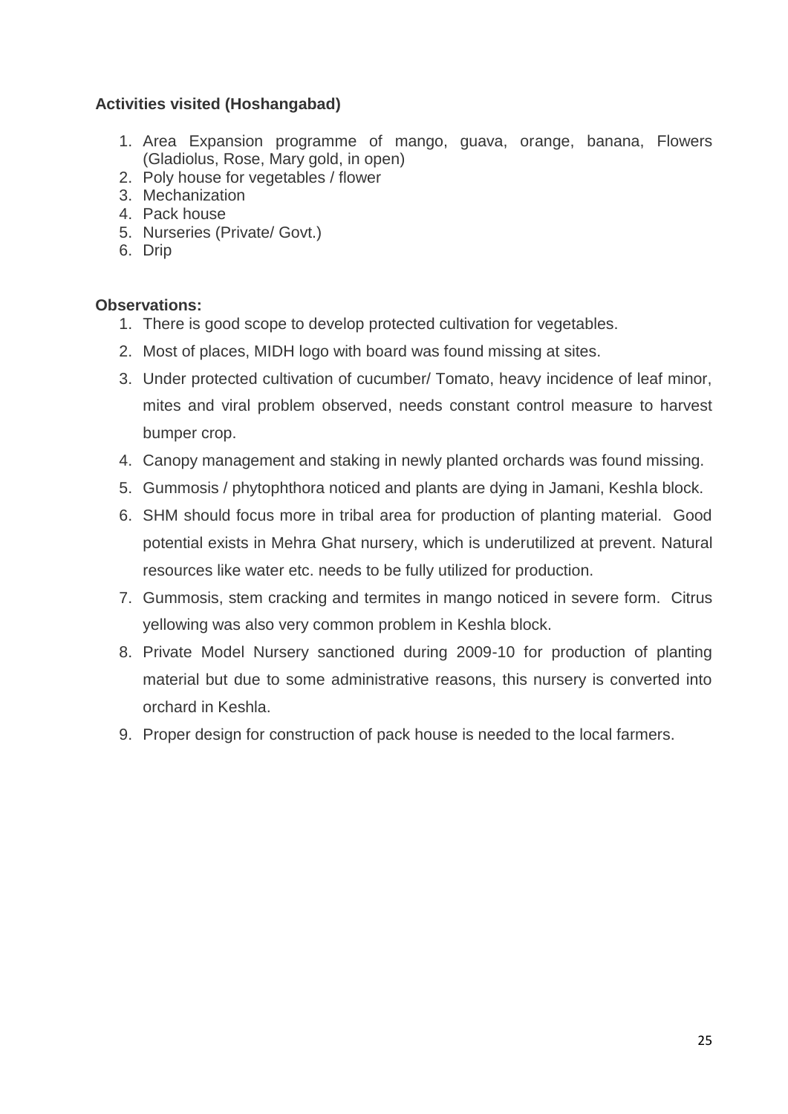## **Activities visited (Hoshangabad)**

- 1. Area Expansion programme of mango, guava, orange, banana, Flowers (Gladiolus, Rose, Mary gold, in open)
- 2. Poly house for vegetables / flower
- 3. Mechanization
- 4. Pack house
- 5. Nurseries (Private/ Govt.)
- 6. Drip

### **Observations:**

- 1. There is good scope to develop protected cultivation for vegetables.
- 2. Most of places, MIDH logo with board was found missing at sites.
- 3. Under protected cultivation of cucumber/ Tomato, heavy incidence of leaf minor, mites and viral problem observed, needs constant control measure to harvest bumper crop.
- 4. Canopy management and staking in newly planted orchards was found missing.
- 5. Gummosis / phytophthora noticed and plants are dying in Jamani, Keshla block.
- 6. SHM should focus more in tribal area for production of planting material. Good potential exists in Mehra Ghat nursery, which is underutilized at prevent. Natural resources like water etc. needs to be fully utilized for production.
- 7. Gummosis, stem cracking and termites in mango noticed in severe form. Citrus yellowing was also very common problem in Keshla block.
- 8. Private Model Nursery sanctioned during 2009-10 for production of planting material but due to some administrative reasons, this nursery is converted into orchard in Keshla.
- 9. Proper design for construction of pack house is needed to the local farmers.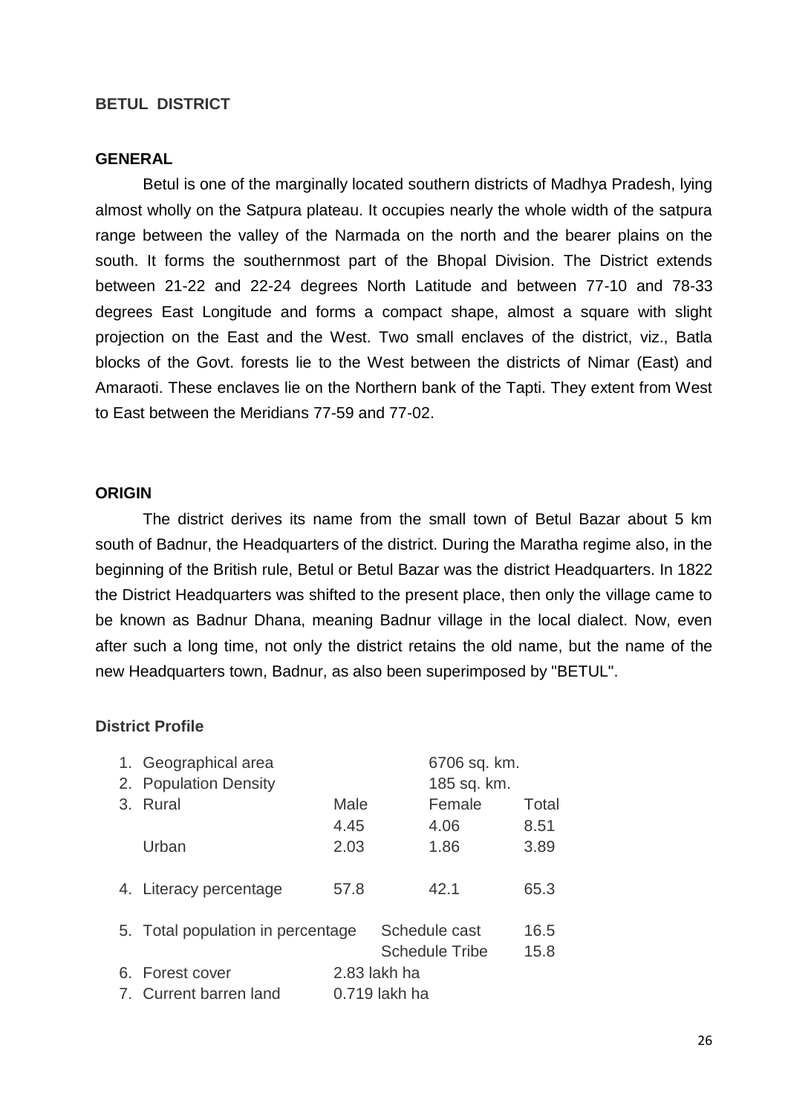#### **BETUL DISTRICT**

#### **GENERAL**

Betul is one of the marginally located southern districts of Madhya Pradesh, lying almost wholly on the Satpura plateau. It occupies nearly the whole width of the satpura range between the valley of the Narmada on the north and the bearer plains on the south. It forms the southernmost part of the Bhopal Division. The District extends between 21-22 and 22-24 degrees North Latitude and between 77-10 and 78-33 degrees East Longitude and forms a compact shape, almost a square with slight projection on the East and the West. Two small enclaves of the district, viz., Batla blocks of the Govt. forests lie to the West between the districts of Nimar (East) and Amaraoti. These enclaves lie on the Northern bank of the Tapti. They extent from West to East between the Meridians 77-59 and 77-02.

#### **ORIGIN**

The district derives its name from the small town of Betul Bazar about 5 km south of Badnur, the Headquarters of the district. During the Maratha regime also, in the beginning of the British rule, Betul or Betul Bazar was the district Headquarters. In 1822 the District Headquarters was shifted to the present place, then only the village came to be known as Badnur Dhana, meaning Badnur village in the local dialect. Now, even after such a long time, not only the district retains the old name, but the name of the new Headquarters town, Badnur, as also been superimposed by "BETUL".

#### **District Profile**

|    | 1. Geographical area              |               |              | 6706 sq. km.          |       |
|----|-----------------------------------|---------------|--------------|-----------------------|-------|
| 2. | <b>Population Density</b>         |               |              | 185 sq. km.           |       |
| 3. | Rural                             | Male          |              | Female                | Total |
|    |                                   | 4.45          |              | 4.06                  | 8.51  |
|    | Urban                             | 2.03          |              | 1.86                  | 3.89  |
|    |                                   |               |              |                       |       |
|    | 4. Literacy percentage            | 57.8          |              | 42.1                  | 65.3  |
|    |                                   |               |              |                       |       |
|    | 5. Total population in percentage |               |              | Schedule cast         | 16.5  |
|    |                                   |               |              | <b>Schedule Tribe</b> | 15.8  |
|    | 6. Forest cover                   |               | 2.83 lakh ha |                       |       |
|    | 7. Current barren land            | 0.719 lakh ha |              |                       |       |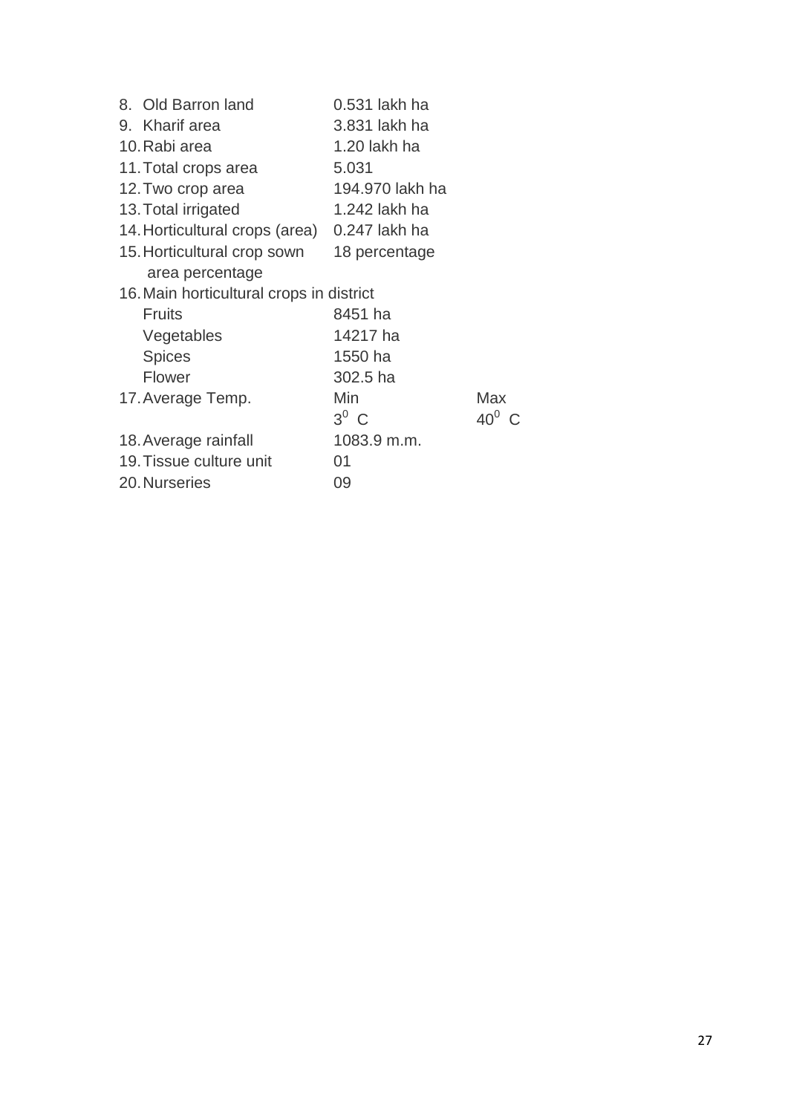| 8. Old Barron land                       | 0.531 lakh ha   |          |
|------------------------------------------|-----------------|----------|
| 9. Kharif area                           | 3.831 lakh ha   |          |
| 10. Rabi area                            | 1.20 lakh ha    |          |
| 11. Total crops area                     | 5.031           |          |
| 12. Two crop area                        | 194.970 lakh ha |          |
| 13. Total irrigated                      | 1.242 lakh ha   |          |
| 14. Horticultural crops (area)           | 0.247 lakh ha   |          |
| 15. Horticultural crop sown              | 18 percentage   |          |
| area percentage                          |                 |          |
| 16. Main horticultural crops in district |                 |          |
| <b>Fruits</b>                            | 8451 ha         |          |
| Vegetables                               | 14217 ha        |          |
| <b>Spices</b>                            | 1550 ha         |          |
| Flower                                   | 302.5 ha        |          |
| 17. Average Temp.                        | Min             | Max      |
|                                          | $3^0$ C         | $40^0$ C |
| 18. Average rainfall                     | 1083.9 m.m.     |          |
| 19. Tissue culture unit                  | 01              |          |
| 20. Nurseries                            | 09              |          |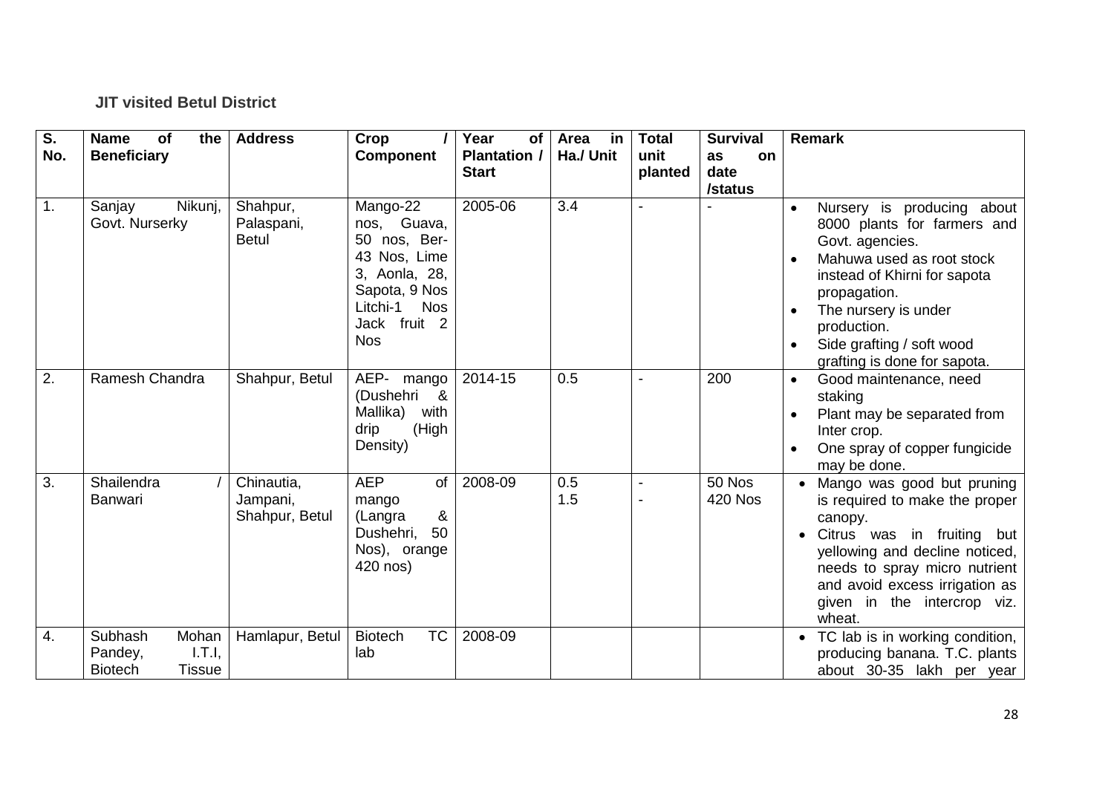## **JIT visited Betul District**

| S.  | <b>Name</b><br>of<br>the                                                 | <b>Address</b>                           | Crop                                                                                                                                              | Year<br>of                          | Area<br>in | <b>Total</b>    | <b>Survival</b>                    | <b>Remark</b>                                                                                                                                                                                                                                                              |
|-----|--------------------------------------------------------------------------|------------------------------------------|---------------------------------------------------------------------------------------------------------------------------------------------------|-------------------------------------|------------|-----------------|------------------------------------|----------------------------------------------------------------------------------------------------------------------------------------------------------------------------------------------------------------------------------------------------------------------------|
| No. | <b>Beneficiary</b>                                                       |                                          | <b>Component</b>                                                                                                                                  | <b>Plantation /</b><br><b>Start</b> | Ha./ Unit  | unit<br>planted | as<br><b>on</b><br>date<br>/status |                                                                                                                                                                                                                                                                            |
| 1.  | Nikunj,<br>Sanjay<br>Govt. Nurserky                                      | Shahpur,<br>Palaspani,<br><b>Betul</b>   | Mango-22<br>nos, Guava,<br>50 nos, Ber-<br>43 Nos, Lime<br>3, Aonla, 28,<br>Sapota, 9 Nos<br>Litchi-1<br><b>Nos</b><br>Jack fruit 2<br><b>Nos</b> | 2005-06                             | 3.4        | $\blacksquare$  |                                    | Nursery is producing about<br>$\bullet$<br>8000 plants for farmers and<br>Govt. agencies.<br>Mahuwa used as root stock<br>instead of Khirni for sapota<br>propagation.<br>The nursery is under<br>production.<br>Side grafting / soft wood<br>grafting is done for sapota. |
| 2.  | Ramesh Chandra                                                           | Shahpur, Betul                           | AEP-<br>mango<br>(Dushehri<br><u>&amp;</u><br>Mallika)<br>with<br>(High<br>drip<br>Density)                                                       | 2014-15                             | 0.5        |                 | 200                                | Good maintenance, need<br>$\bullet$<br>staking<br>Plant may be separated from<br>Inter crop.<br>One spray of copper fungicide<br>may be done.                                                                                                                              |
| 3.  | Shailendra<br>Banwari                                                    | Chinautia,<br>Jampani,<br>Shahpur, Betul | <b>AEP</b><br><b>of</b><br>mango<br>&<br>(Langra<br>50<br>Dushehri,<br>Nos), orange<br>420 nos)                                                   | 2008-09                             | 0.5<br>1.5 |                 | 50 Nos<br><b>420 Nos</b>           | Mango was good but pruning<br>is required to make the proper<br>canopy.<br>Citrus was in fruiting but<br>yellowing and decline noticed,<br>needs to spray micro nutrient<br>and avoid excess irrigation as<br>given in the intercrop viz.<br>wheat.                        |
| 4.  | Subhash<br>Mohan<br>I.T.I,<br>Pandey,<br><b>Biotech</b><br><b>Tissue</b> | Hamlapur, Betul                          | <b>TC</b><br><b>Biotech</b><br>lab                                                                                                                | 2008-09                             |            |                 |                                    | TC lab is in working condition,<br>producing banana. T.C. plants<br>about 30-35 lakh per year                                                                                                                                                                              |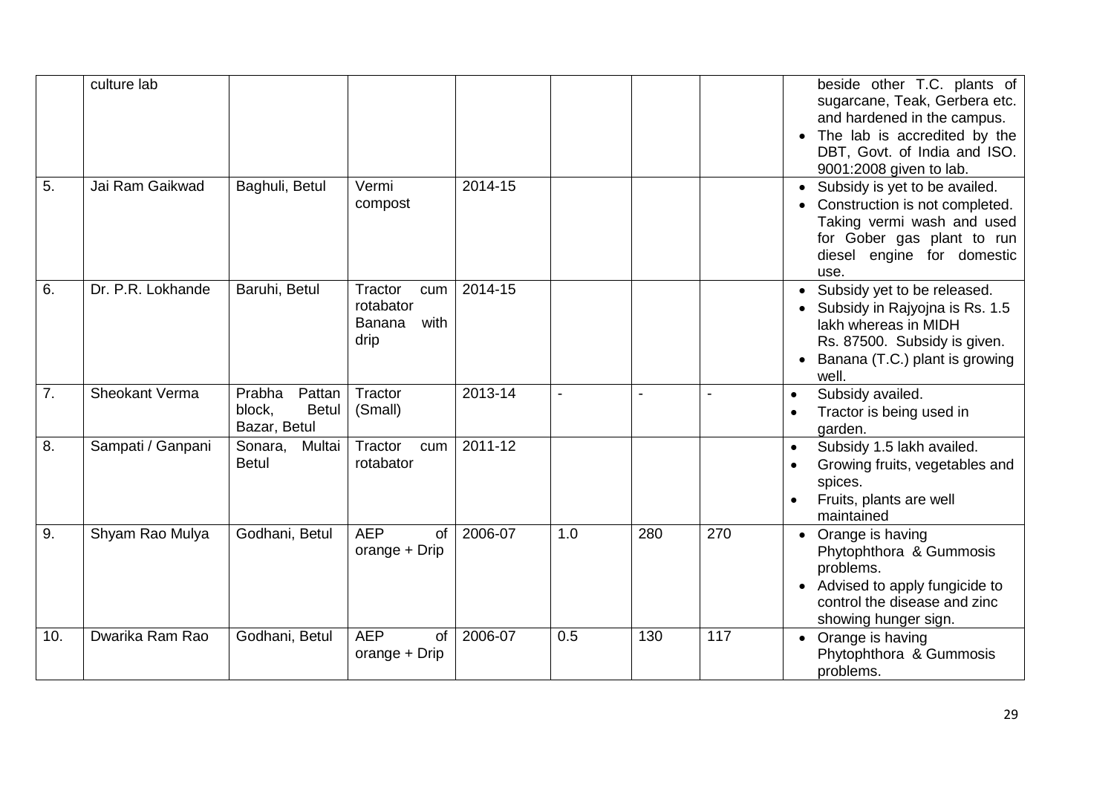|     | culture lab       |                                                            |                                                       |             |                |                |     | beside other T.C. plants of<br>sugarcane, Teak, Gerbera etc.<br>and hardened in the campus.<br>• The lab is accredited by the<br>DBT, Govt. of India and ISO.<br>9001:2008 given to lab. |
|-----|-------------------|------------------------------------------------------------|-------------------------------------------------------|-------------|----------------|----------------|-----|------------------------------------------------------------------------------------------------------------------------------------------------------------------------------------------|
| 5.  | Jai Ram Gaikwad   | Baghuli, Betul                                             | Vermi<br>compost                                      | $2014 - 15$ |                |                |     | Subsidy is yet to be availed.<br>Construction is not completed.<br>Taking vermi wash and used<br>for Gober gas plant to run<br>diesel engine for domestic<br>use.                        |
| 6.  | Dr. P.R. Lokhande | Baruhi, Betul                                              | Tractor<br>cum<br>rotabator<br>Banana<br>with<br>drip | 2014-15     |                |                |     | • Subsidy yet to be released.<br>• Subsidy in Rajyojna is Rs. 1.5<br>lakh whereas in MIDH<br>Rs. 87500. Subsidy is given.<br>Banana (T.C.) plant is growing<br>well.                     |
| 7.  | Sheokant Verma    | Prabha<br>Pattan<br><b>Betul</b><br>block,<br>Bazar, Betul | Tractor<br>(Small)                                    | 2013-14     | $\blacksquare$ | $\blacksquare$ |     | Subsidy availed.<br>$\bullet$<br>Tractor is being used in<br>garden.                                                                                                                     |
| 8.  | Sampati / Ganpani | Multai<br>Sonara,<br><b>Betul</b>                          | Tractor<br>cum<br>rotabator                           | 2011-12     |                |                |     | Subsidy 1.5 lakh availed.<br>$\bullet$<br>Growing fruits, vegetables and<br>spices.<br>Fruits, plants are well<br>maintained                                                             |
| 9.  | Shyam Rao Mulya   | Godhani, Betul                                             | <b>AEP</b><br>of<br>orange + Drip                     | 2006-07     | 1.0            | 280            | 270 | Orange is having<br>Phytophthora & Gummosis<br>problems.<br>Advised to apply fungicide to<br>control the disease and zinc<br>showing hunger sign.                                        |
| 10. | Dwarika Ram Rao   | Godhani, Betul                                             | <b>AEP</b><br>$\circ$ f<br>orange + Drip              | 2006-07     | 0.5            | 130            | 117 | • Orange is having<br>Phytophthora & Gummosis<br>problems.                                                                                                                               |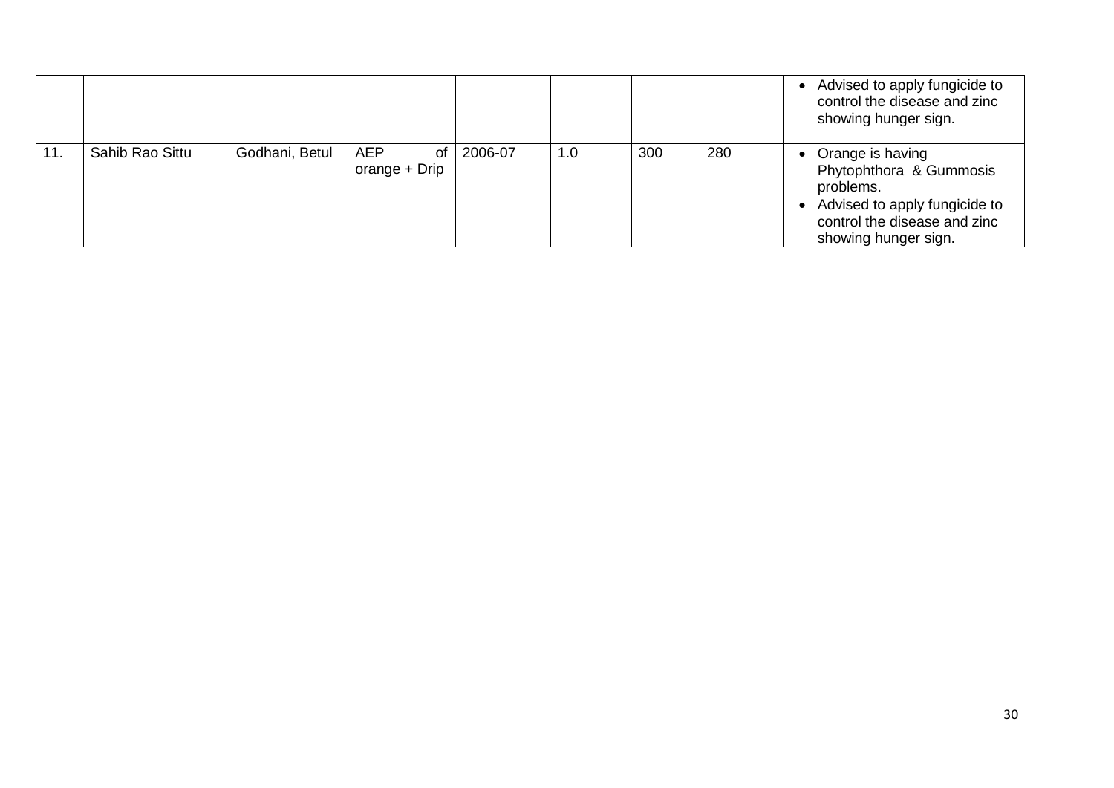|     |                 |                |                                   |         |     |     |     | Advised to apply fungicide to<br>control the disease and zinc<br>showing hunger sign.                                                             |
|-----|-----------------|----------------|-----------------------------------|---------|-----|-----|-----|---------------------------------------------------------------------------------------------------------------------------------------------------|
| 11. | Sahib Rao Sittu | Godhani, Betul | <b>AEP</b><br>0f<br>orange + Drip | 2006-07 | 1.0 | 300 | 280 | Orange is having<br>Phytophthora & Gummosis<br>problems.<br>Advised to apply fungicide to<br>control the disease and zinc<br>showing hunger sign. |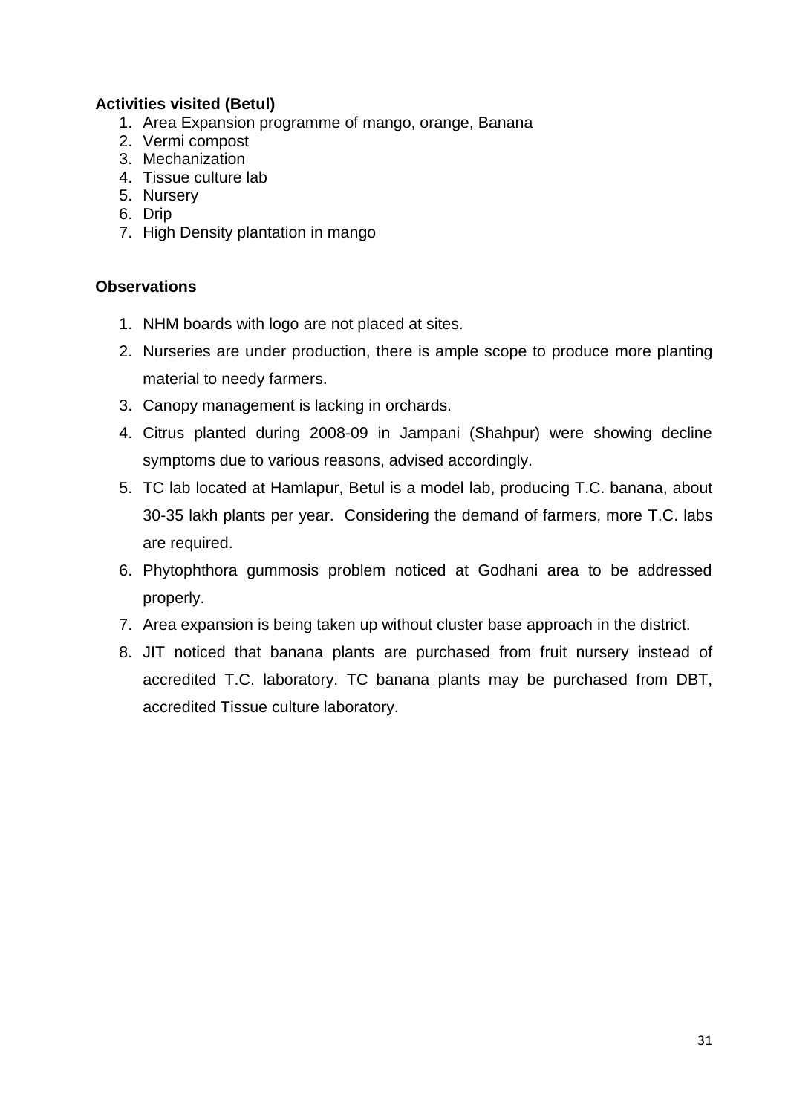## **Activities visited (Betul)**

- 1. Area Expansion programme of mango, orange, Banana
- 2. Vermi compost
- 3. Mechanization
- 4. Tissue culture lab
- 5. Nursery
- 6. Drip
- 7. High Density plantation in mango

## **Observations**

- 1. NHM boards with logo are not placed at sites.
- 2. Nurseries are under production, there is ample scope to produce more planting material to needy farmers.
- 3. Canopy management is lacking in orchards.
- 4. Citrus planted during 2008-09 in Jampani (Shahpur) were showing decline symptoms due to various reasons, advised accordingly.
- 5. TC lab located at Hamlapur, Betul is a model lab, producing T.C. banana, about 30-35 lakh plants per year. Considering the demand of farmers, more T.C. labs are required.
- 6. Phytophthora gummosis problem noticed at Godhani area to be addressed properly.
- 7. Area expansion is being taken up without cluster base approach in the district.
- 8. JIT noticed that banana plants are purchased from fruit nursery instead of accredited T.C. laboratory. TC banana plants may be purchased from DBT, accredited Tissue culture laboratory.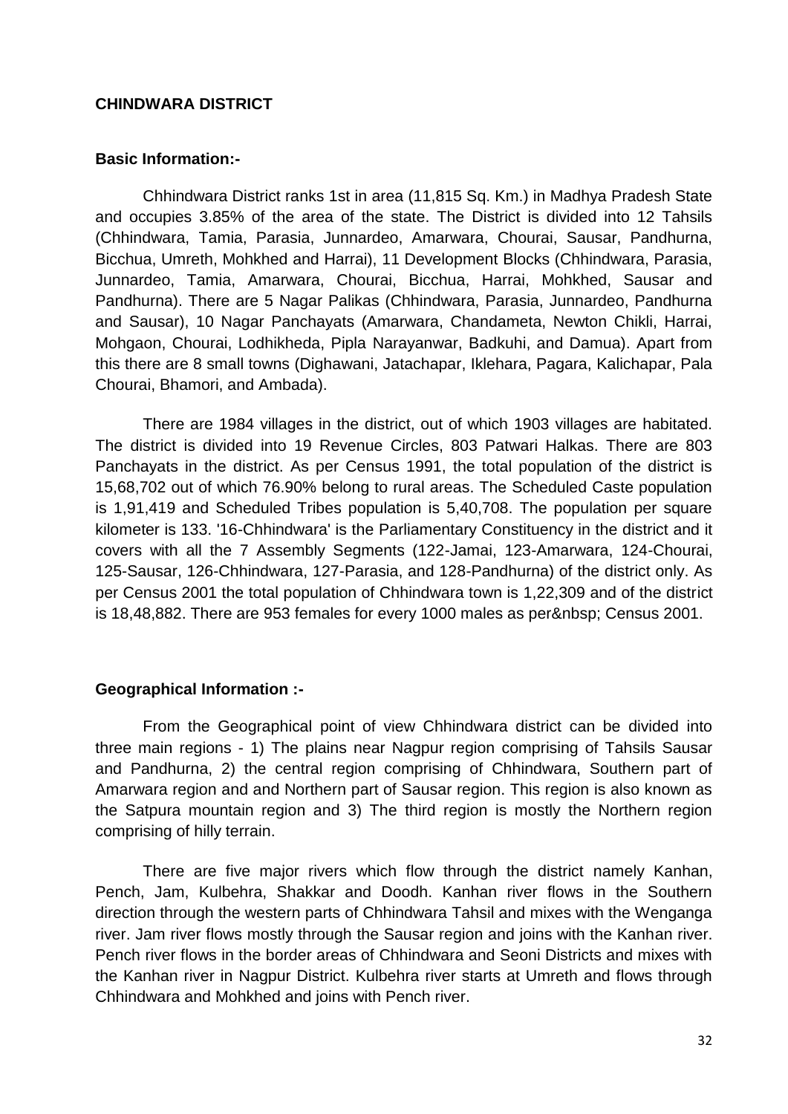#### **CHINDWARA DISTRICT**

#### **Basic Information:-**

Chhindwara District ranks 1st in area (11,815 Sq. Km.) in Madhya Pradesh State and occupies 3.85% of the area of the state. The District is divided into 12 Tahsils (Chhindwara, Tamia, Parasia, Junnardeo, Amarwara, Chourai, Sausar, Pandhurna, Bicchua, Umreth, Mohkhed and Harrai), 11 Development Blocks (Chhindwara, Parasia, Junnardeo, Tamia, Amarwara, Chourai, Bicchua, Harrai, Mohkhed, Sausar and Pandhurna). There are 5 Nagar Palikas (Chhindwara, Parasia, Junnardeo, Pandhurna and Sausar), 10 Nagar Panchayats (Amarwara, Chandameta, Newton Chikli, Harrai, Mohgaon, Chourai, Lodhikheda, Pipla Narayanwar, Badkuhi, and Damua). Apart from this there are 8 small towns (Dighawani, Jatachapar, Iklehara, Pagara, Kalichapar, Pala Chourai, Bhamori, and Ambada).

There are 1984 villages in the district, out of which 1903 villages are habitated. The district is divided into 19 Revenue Circles, 803 Patwari Halkas. There are 803 Panchayats in the district. As per Census 1991, the total population of the district is 15,68,702 out of which 76.90% belong to rural areas. The Scheduled Caste population is 1,91,419 and Scheduled Tribes population is 5,40,708. The population per square kilometer is 133. '16-Chhindwara' is the Parliamentary Constituency in the district and it covers with all the 7 Assembly Segments (122-Jamai, 123-Amarwara, 124-Chourai, 125-Sausar, 126-Chhindwara, 127-Parasia, and 128-Pandhurna) of the district only. As per Census 2001 the total population of Chhindwara town is 1,22,309 and of the district is 18,48,882. There are 953 females for every 1000 males as per Census 2001.

#### **Geographical Information :-**

From the Geographical point of view Chhindwara district can be divided into three main regions - 1) The plains near Nagpur region comprising of Tahsils Sausar and Pandhurna, 2) the central region comprising of Chhindwara, Southern part of Amarwara region and and Northern part of Sausar region. This region is also known as the Satpura mountain region and 3) The third region is mostly the Northern region comprising of hilly terrain.

There are five major rivers which flow through the district namely Kanhan, Pench, Jam, Kulbehra, Shakkar and Doodh. Kanhan river flows in the Southern direction through the western parts of Chhindwara Tahsil and mixes with the Wenganga river. Jam river flows mostly through the Sausar region and joins with the Kanhan river. Pench river flows in the border areas of Chhindwara and Seoni Districts and mixes with the Kanhan river in Nagpur District. Kulbehra river starts at Umreth and flows through Chhindwara and Mohkhed and joins with Pench river.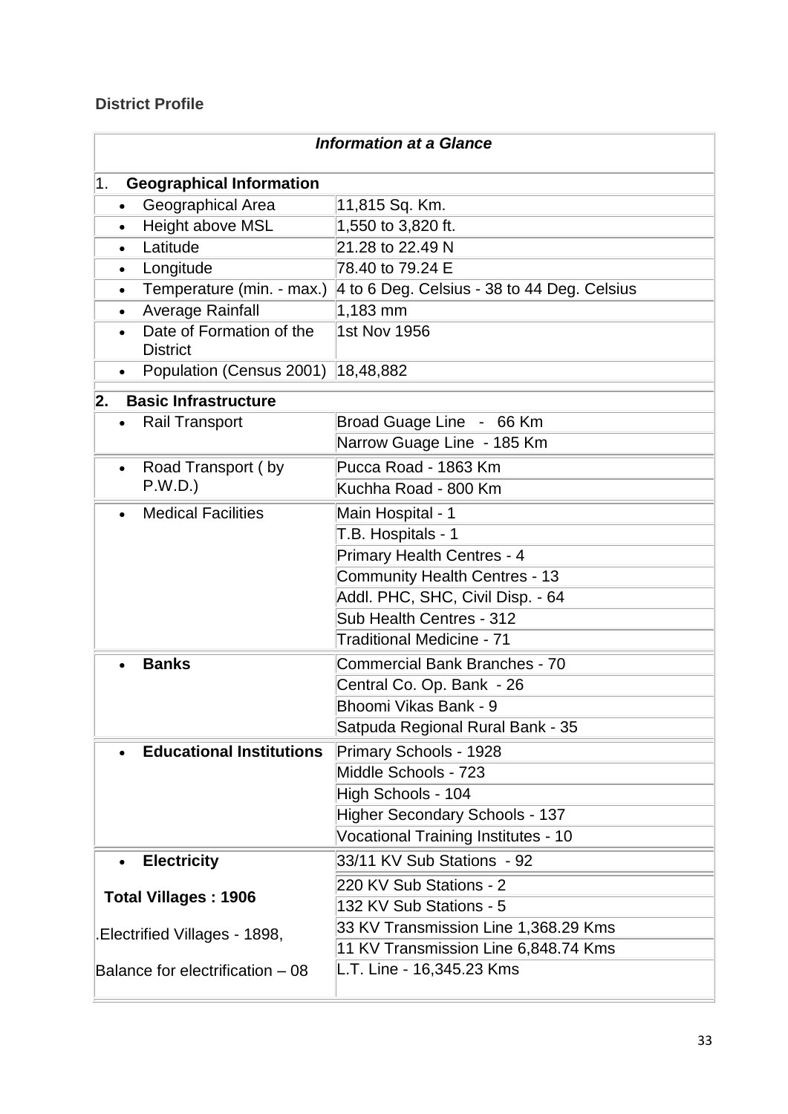## **District Profile**

| <b>Information at a Glance</b>                                                        |                                       |  |  |  |  |  |  |  |
|---------------------------------------------------------------------------------------|---------------------------------------|--|--|--|--|--|--|--|
| <b>Geographical Information</b><br>1.                                                 |                                       |  |  |  |  |  |  |  |
| Geographical Area<br>$\bullet$                                                        | 11,815 Sq. Km.                        |  |  |  |  |  |  |  |
| Height above MSL<br>1,550 to 3,820 ft.<br>$\bullet$                                   |                                       |  |  |  |  |  |  |  |
| Latitude                                                                              | 21.28 to 22.49 N                      |  |  |  |  |  |  |  |
| Longitude<br>$\bullet$                                                                | 78.40 to 79.24 E                      |  |  |  |  |  |  |  |
| Temperature (min. - max.)<br>4 to 6 Deg. Celsius - 38 to 44 Deg. Celsius<br>$\bullet$ |                                       |  |  |  |  |  |  |  |
| <b>Average Rainfall</b><br>$1,183$ mm                                                 |                                       |  |  |  |  |  |  |  |
| Date of Formation of the<br>1st Nov 1956<br><b>District</b>                           |                                       |  |  |  |  |  |  |  |
| Population (Census 2001)<br>$\bullet$                                                 | 18,48,882                             |  |  |  |  |  |  |  |
| 2.<br><b>Basic Infrastructure</b>                                                     |                                       |  |  |  |  |  |  |  |
| <b>Rail Transport</b><br>$\bullet$                                                    | Broad Guage Line - 66 Km              |  |  |  |  |  |  |  |
|                                                                                       | Narrow Guage Line - 185 Km            |  |  |  |  |  |  |  |
| Road Transport (by<br>$\bullet$                                                       | Pucca Road - 1863 Km                  |  |  |  |  |  |  |  |
| P.W.D.)                                                                               | Kuchha Road - 800 Km                  |  |  |  |  |  |  |  |
| <b>Medical Facilities</b><br>$\bullet$                                                | Main Hospital - 1                     |  |  |  |  |  |  |  |
|                                                                                       | T.B. Hospitals - 1                    |  |  |  |  |  |  |  |
|                                                                                       | Primary Health Centres - 4            |  |  |  |  |  |  |  |
|                                                                                       | <b>Community Health Centres - 13</b>  |  |  |  |  |  |  |  |
|                                                                                       | Addl. PHC, SHC, Civil Disp. - 64      |  |  |  |  |  |  |  |
|                                                                                       | Sub Health Centres - 312              |  |  |  |  |  |  |  |
|                                                                                       | Traditional Medicine - 71             |  |  |  |  |  |  |  |
| <b>Banks</b>                                                                          | <b>Commercial Bank Branches - 70</b>  |  |  |  |  |  |  |  |
|                                                                                       | Central Co. Op. Bank - 26             |  |  |  |  |  |  |  |
|                                                                                       | Bhoomi Vikas Bank - 9                 |  |  |  |  |  |  |  |
|                                                                                       | Satpuda Regional Rural Bank - 35      |  |  |  |  |  |  |  |
| <b>Educational Institutions</b>                                                       | <b>Primary Schools - 1928</b>         |  |  |  |  |  |  |  |
|                                                                                       | Middle Schools - 723                  |  |  |  |  |  |  |  |
|                                                                                       | High Schools - 104                    |  |  |  |  |  |  |  |
|                                                                                       | <b>Higher Secondary Schools - 137</b> |  |  |  |  |  |  |  |
|                                                                                       | Vocational Training Institutes - 10   |  |  |  |  |  |  |  |
| <b>Electricity</b>                                                                    | 33/11 KV Sub Stations - 92            |  |  |  |  |  |  |  |
|                                                                                       | 220 KV Sub Stations - 2               |  |  |  |  |  |  |  |
| <b>Total Villages: 1906</b>                                                           | 132 KV Sub Stations - 5               |  |  |  |  |  |  |  |
| Electrified Villages - 1898,                                                          | 33 KV Transmission Line 1,368.29 Kms  |  |  |  |  |  |  |  |
|                                                                                       | 11 KV Transmission Line 6,848.74 Kms  |  |  |  |  |  |  |  |
| L.T. Line - 16,345.23 Kms<br>Balance for electrification - 08                         |                                       |  |  |  |  |  |  |  |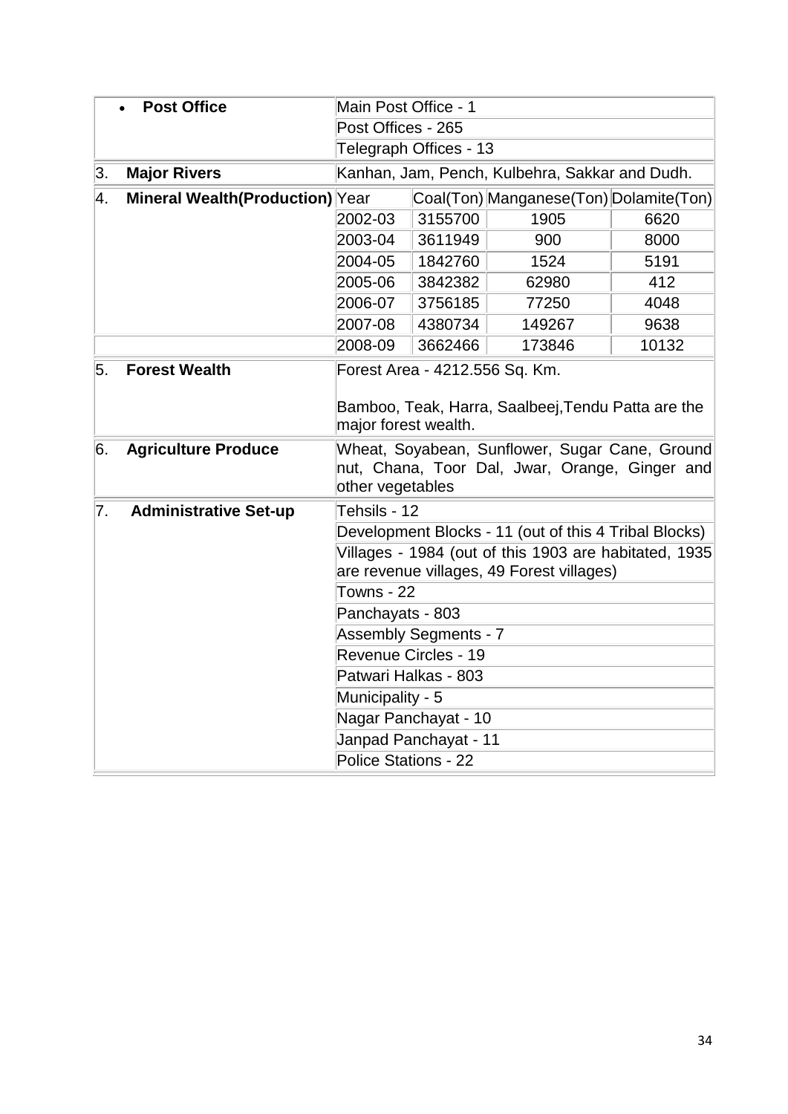|    | <b>Post Office</b>              | Main Post Office - 1                                                                                                 |         |                                                       |       |  |  |  |
|----|---------------------------------|----------------------------------------------------------------------------------------------------------------------|---------|-------------------------------------------------------|-------|--|--|--|
|    |                                 | Post Offices - 265                                                                                                   |         |                                                       |       |  |  |  |
|    |                                 | Telegraph Offices - 13                                                                                               |         |                                                       |       |  |  |  |
| 3. | <b>Major Rivers</b>             | Kanhan, Jam, Pench, Kulbehra, Sakkar and Dudh.                                                                       |         |                                                       |       |  |  |  |
| 4. | Mineral Wealth(Production) Year |                                                                                                                      |         | Coal(Ton) Manganese(Ton) Dolamite(Ton)                |       |  |  |  |
|    |                                 | 2002-03                                                                                                              | 3155700 | 1905                                                  | 6620  |  |  |  |
|    |                                 | 2003-04                                                                                                              | 3611949 | 900                                                   | 8000  |  |  |  |
|    |                                 | 2004-05                                                                                                              | 1842760 | 1524                                                  | 5191  |  |  |  |
|    |                                 | 2005-06                                                                                                              | 3842382 | 62980                                                 | 412   |  |  |  |
|    |                                 | 2006-07                                                                                                              | 3756185 | 77250                                                 | 4048  |  |  |  |
|    |                                 | 2007-08                                                                                                              | 4380734 | 149267                                                | 9638  |  |  |  |
|    |                                 | 2008-09                                                                                                              | 3662466 | 173846                                                | 10132 |  |  |  |
| 5. | <b>Forest Wealth</b>            | Forest Area - 4212.556 Sq. Km.<br>Bamboo, Teak, Harra, Saalbeej, Tendu Patta are the<br>major forest wealth.         |         |                                                       |       |  |  |  |
| 6. | <b>Agriculture Produce</b>      | Wheat, Soyabean, Sunflower, Sugar Cane, Ground<br>nut, Chana, Toor Dal, Jwar, Orange, Ginger and<br>other vegetables |         |                                                       |       |  |  |  |
| 7. | <b>Administrative Set-up</b>    | Tehsils - 12                                                                                                         |         |                                                       |       |  |  |  |
|    |                                 |                                                                                                                      |         | Development Blocks - 11 (out of this 4 Tribal Blocks) |       |  |  |  |
|    |                                 | Villages - 1984 (out of this 1903 are habitated, 1935<br>are revenue villages, 49 Forest villages)                   |         |                                                       |       |  |  |  |
|    |                                 | Towns - 22                                                                                                           |         |                                                       |       |  |  |  |
|    |                                 | Panchayats - 803                                                                                                     |         |                                                       |       |  |  |  |
|    |                                 | <b>Assembly Segments - 7</b>                                                                                         |         |                                                       |       |  |  |  |
|    |                                 | Revenue Circles - 19                                                                                                 |         |                                                       |       |  |  |  |
|    |                                 | Patwari Halkas - 803                                                                                                 |         |                                                       |       |  |  |  |
|    |                                 | Municipality - 5                                                                                                     |         |                                                       |       |  |  |  |
|    |                                 | Nagar Panchayat - 10                                                                                                 |         |                                                       |       |  |  |  |
|    |                                 | Janpad Panchayat - 11                                                                                                |         |                                                       |       |  |  |  |
|    |                                 | Police Stations - 22                                                                                                 |         |                                                       |       |  |  |  |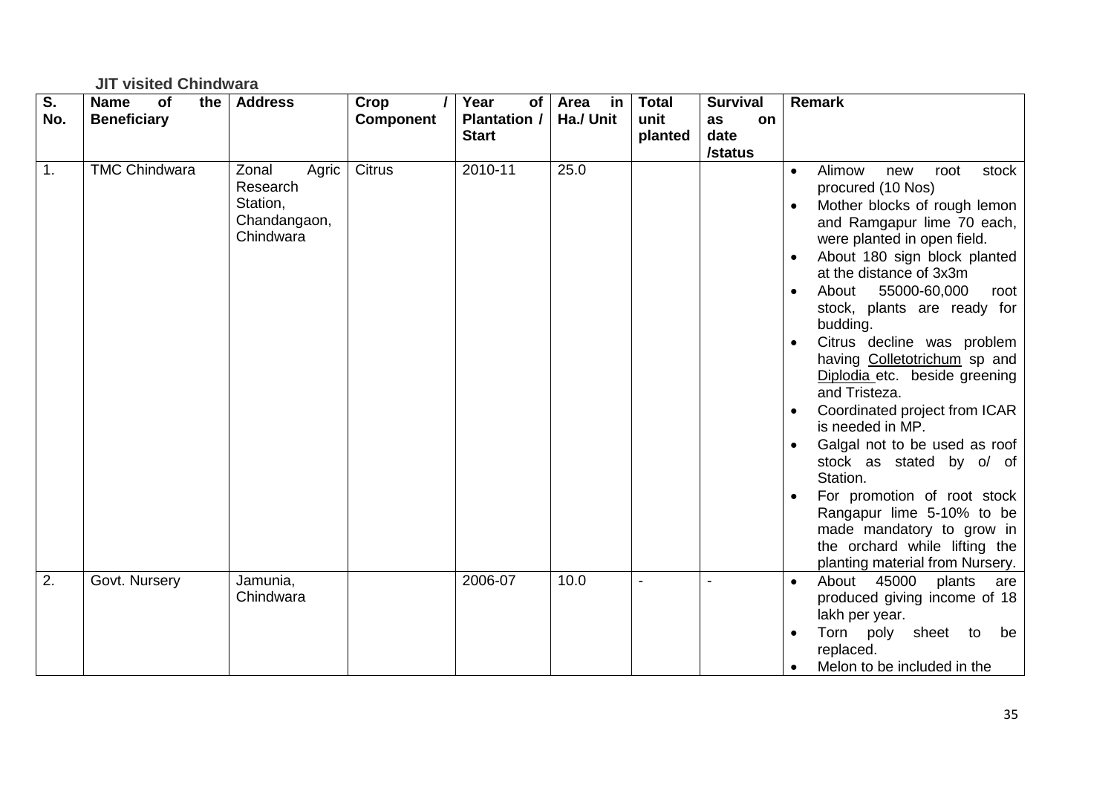## **JIT visited Chindwara**

| $\overline{\mathsf{s}}$ . | <b>Name</b><br>of<br>the | <b>Address</b>       | Crop             | Year<br>of          | Area<br>in | <b>Total</b>             | <b>Survival</b> | <b>Remark</b>                                                    |
|---------------------------|--------------------------|----------------------|------------------|---------------------|------------|--------------------------|-----------------|------------------------------------------------------------------|
| No.                       | <b>Beneficiary</b>       |                      | <b>Component</b> | <b>Plantation /</b> | Ha./ Unit  | unit                     | as<br>on        |                                                                  |
|                           |                          |                      |                  | <b>Start</b>        |            | planted                  | date            |                                                                  |
|                           |                          |                      |                  |                     |            |                          | /status         |                                                                  |
| 1.                        | <b>TMC Chindwara</b>     | Agric<br>Zonal       | <b>Citrus</b>    | 2010-11             | 25.0       |                          |                 | Alimow<br>stock<br>new<br>root<br>$\bullet$                      |
|                           |                          | Research<br>Station, |                  |                     |            |                          |                 | procured (10 Nos)                                                |
|                           |                          | Chandangaon,         |                  |                     |            |                          |                 | Mother blocks of rough lemon                                     |
|                           |                          | Chindwara            |                  |                     |            |                          |                 | and Ramgapur lime 70 each,<br>were planted in open field.        |
|                           |                          |                      |                  |                     |            |                          |                 | About 180 sign block planted                                     |
|                           |                          |                      |                  |                     |            |                          |                 | at the distance of 3x3m                                          |
|                           |                          |                      |                  |                     |            |                          |                 | 55000-60,000<br>About<br>root<br>$\bullet$                       |
|                           |                          |                      |                  |                     |            |                          |                 | stock, plants are ready for                                      |
|                           |                          |                      |                  |                     |            |                          |                 | budding.                                                         |
|                           |                          |                      |                  |                     |            |                          |                 | Citrus decline was problem                                       |
|                           |                          |                      |                  |                     |            |                          |                 | having Colletotrichum sp and                                     |
|                           |                          |                      |                  |                     |            |                          |                 | Diplodia etc. beside greening                                    |
|                           |                          |                      |                  |                     |            |                          |                 | and Tristeza.                                                    |
|                           |                          |                      |                  |                     |            |                          |                 | Coordinated project from ICAR<br>is needed in MP.                |
|                           |                          |                      |                  |                     |            |                          |                 | Galgal not to be used as roof                                    |
|                           |                          |                      |                  |                     |            |                          |                 | stock as stated by o/ of                                         |
|                           |                          |                      |                  |                     |            |                          |                 | Station.                                                         |
|                           |                          |                      |                  |                     |            |                          |                 | For promotion of root stock                                      |
|                           |                          |                      |                  |                     |            |                          |                 | Rangapur lime 5-10% to be                                        |
|                           |                          |                      |                  |                     |            |                          |                 | made mandatory to grow in                                        |
|                           |                          |                      |                  |                     |            |                          |                 | the orchard while lifting the<br>planting material from Nursery. |
| 2.                        | Govt. Nursery            | Jamunia,             |                  | 2006-07             | 10.0       | $\overline{\phantom{a}}$ |                 | About 45000<br>plants<br>are<br>$\bullet$                        |
|                           |                          | Chindwara            |                  |                     |            |                          |                 | produced giving income of 18                                     |
|                           |                          |                      |                  |                     |            |                          |                 | lakh per year.                                                   |
|                           |                          |                      |                  |                     |            |                          |                 | Torn poly<br>sheet to<br>be                                      |
|                           |                          |                      |                  |                     |            |                          |                 | replaced.                                                        |
|                           |                          |                      |                  |                     |            |                          |                 | Melon to be included in the                                      |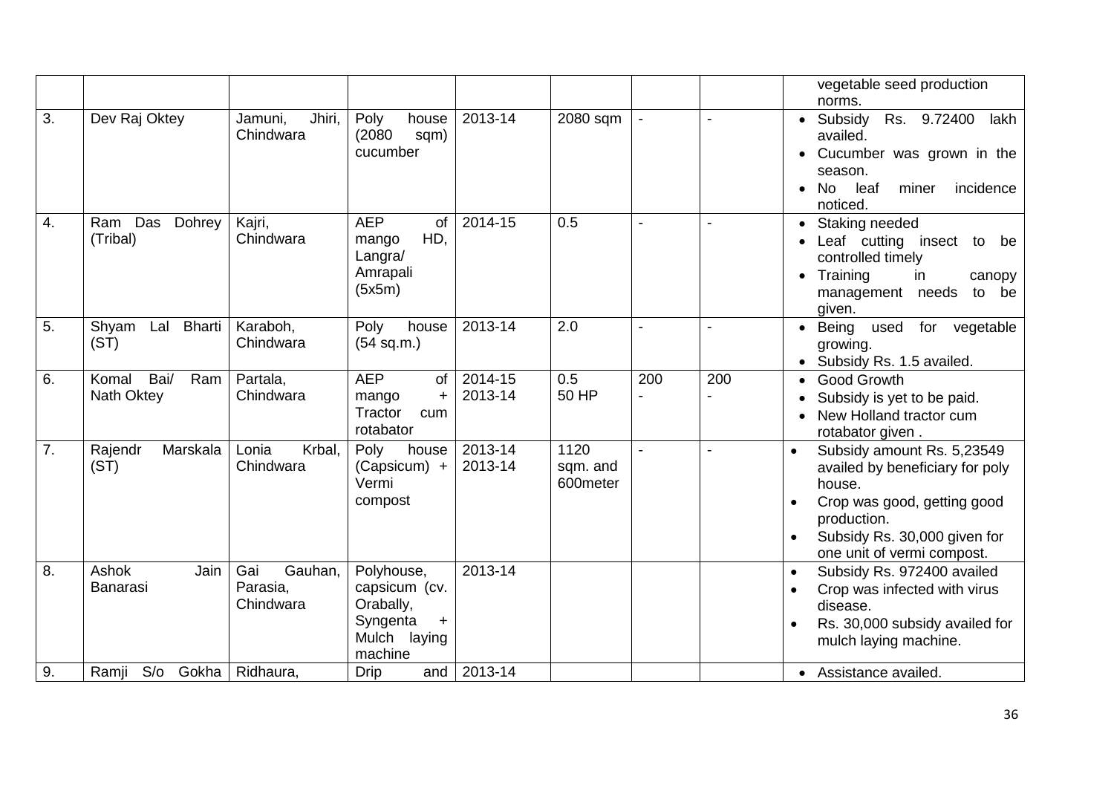|    |                                    |                                         |                                                                                              |                    |                              |                |     | vegetable seed production<br>norms.                                                                                                                                                              |
|----|------------------------------------|-----------------------------------------|----------------------------------------------------------------------------------------------|--------------------|------------------------------|----------------|-----|--------------------------------------------------------------------------------------------------------------------------------------------------------------------------------------------------|
| 3. | Dev Raj Oktey                      | Jamuni,<br>Jhiri,<br>Chindwara          | Poly<br>house<br>(2080)<br>sqm)<br>cucumber                                                  | 2013-14            | 2080 sqm                     |                |     | • Subsidy<br>Rs. 9.72400<br>lakh<br>availed.<br>Cucumber was grown in the<br>season.<br>leaf<br>miner<br>incidence<br>No<br>noticed.                                                             |
| 4. | Das<br>Dohrey<br>Ram<br>(Tribal)   | Kajri,<br>Chindwara                     | <b>AEP</b><br><b>of</b><br>HD,<br>mango<br>Langra/<br>Amrapali<br>(5x5m)                     | 2014-15            | 0.5                          | $\blacksquare$ |     | Staking needed<br>Leaf cutting insect<br>to<br>be<br>controlled timely<br>• Training<br>in<br>canopy<br>management needs<br>to be<br>given.                                                      |
| 5. | Lal Bharti<br>Shyam<br>(ST)        | Karaboh,<br>Chindwara                   | Poly<br>house<br>(54 sq.m.)                                                                  | 2013-14            | 2.0                          | $\blacksquare$ |     | Being<br>used<br>for vegetable<br>growing.<br>• Subsidy Rs. 1.5 availed.                                                                                                                         |
| 6. | Bai/<br>Komal<br>Ram<br>Nath Oktey | Partala,<br>Chindwara                   | <b>AEP</b><br>of<br>mango<br>$+$<br>Tractor<br>cum<br>rotabator                              | 2014-15<br>2013-14 | 0.5<br>50 HP                 | 200            | 200 | <b>Good Growth</b><br>Subsidy is yet to be paid.<br>New Holland tractor cum<br>rotabator given.                                                                                                  |
| 7. | Marskala<br>Rajendr<br>(ST)        | Krbal,<br>Lonia<br>Chindwara            | Poly<br>house<br>$(Capsicum) +$<br>Vermi<br>compost                                          | 2013-14<br>2013-14 | 1120<br>sqm. and<br>600meter | $\blacksquare$ |     | Subsidy amount Rs. 5,23549<br>$\bullet$<br>availed by beneficiary for poly<br>house.<br>Crop was good, getting good<br>production.<br>Subsidy Rs. 30,000 given for<br>one unit of vermi compost. |
| 8. | Ashok<br>Jain<br>Banarasi          | Gai<br>Gauhan,<br>Parasia,<br>Chindwara | Polyhouse,<br>capsicum (cv.<br>Orabally,<br>Syngenta<br>$\ddot{}$<br>Mulch laying<br>machine | 2013-14            |                              |                |     | Subsidy Rs. 972400 availed<br>Crop was infected with virus<br>disease.<br>Rs. 30,000 subsidy availed for<br>mulch laying machine.                                                                |
| 9. | Ramji<br>S/O<br>Gokha              | Ridhaura,                               | <b>Drip</b><br>and                                                                           | 2013-14            |                              |                |     | • Assistance availed.                                                                                                                                                                            |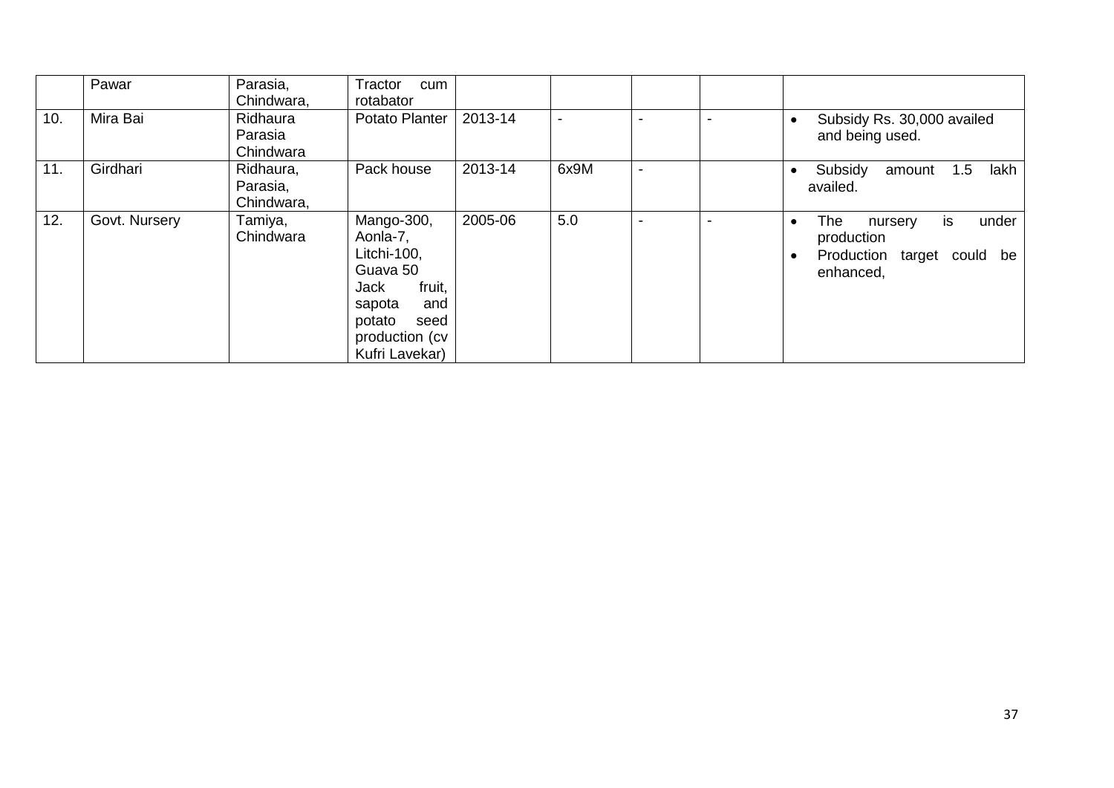|     | Pawar         | Parasia,<br>Chindwara,              | Tractor<br>cum<br>rotabator                                                                                                                |         |      |  |                                                                                                                   |
|-----|---------------|-------------------------------------|--------------------------------------------------------------------------------------------------------------------------------------------|---------|------|--|-------------------------------------------------------------------------------------------------------------------|
| 10. | Mira Bai      | Ridhaura<br>Parasia<br>Chindwara    | Potato Planter                                                                                                                             | 2013-14 |      |  | Subsidy Rs. 30,000 availed<br>$\bullet$<br>and being used.                                                        |
| 11. | Girdhari      | Ridhaura,<br>Parasia,<br>Chindwara, | Pack house                                                                                                                                 | 2013-14 | 6x9M |  | Subsidy<br>lakh<br>1.5<br>amount<br>availed.                                                                      |
| 12. | Govt. Nursery | Tamiya,<br>Chindwara                | Mango-300,<br>Aonla-7,<br>Litchi-100,<br>Guava 50<br>fruit,<br>Jack<br>and<br>sapota<br>potato<br>seed<br>production (cv<br>Kufri Lavekar) | 2005-06 | 5.0  |  | The<br>under<br>nursery<br>is.<br>$\bullet$<br>production<br>Production target could be<br>$\bullet$<br>enhanced, |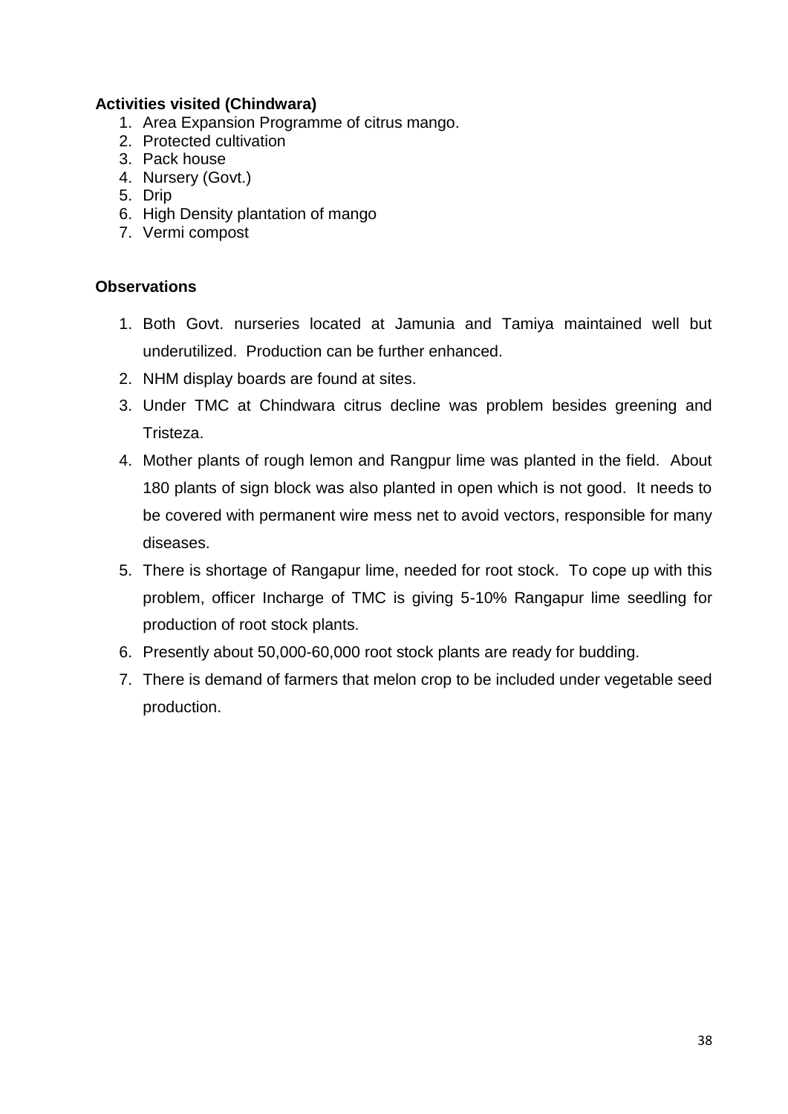## **Activities visited (Chindwara)**

- 1. Area Expansion Programme of citrus mango.
- 2. Protected cultivation
- 3. Pack house
- 4. Nursery (Govt.)
- 5. Drip
- 6. High Density plantation of mango
- 7. Vermi compost

## **Observations**

- 1. Both Govt. nurseries located at Jamunia and Tamiya maintained well but underutilized. Production can be further enhanced.
- 2. NHM display boards are found at sites.
- 3. Under TMC at Chindwara citrus decline was problem besides greening and Tristeza.
- 4. Mother plants of rough lemon and Rangpur lime was planted in the field. About 180 plants of sign block was also planted in open which is not good. It needs to be covered with permanent wire mess net to avoid vectors, responsible for many diseases.
- 5. There is shortage of Rangapur lime, needed for root stock. To cope up with this problem, officer Incharge of TMC is giving 5-10% Rangapur lime seedling for production of root stock plants.
- 6. Presently about 50,000-60,000 root stock plants are ready for budding.
- 7. There is demand of farmers that melon crop to be included under vegetable seed production.